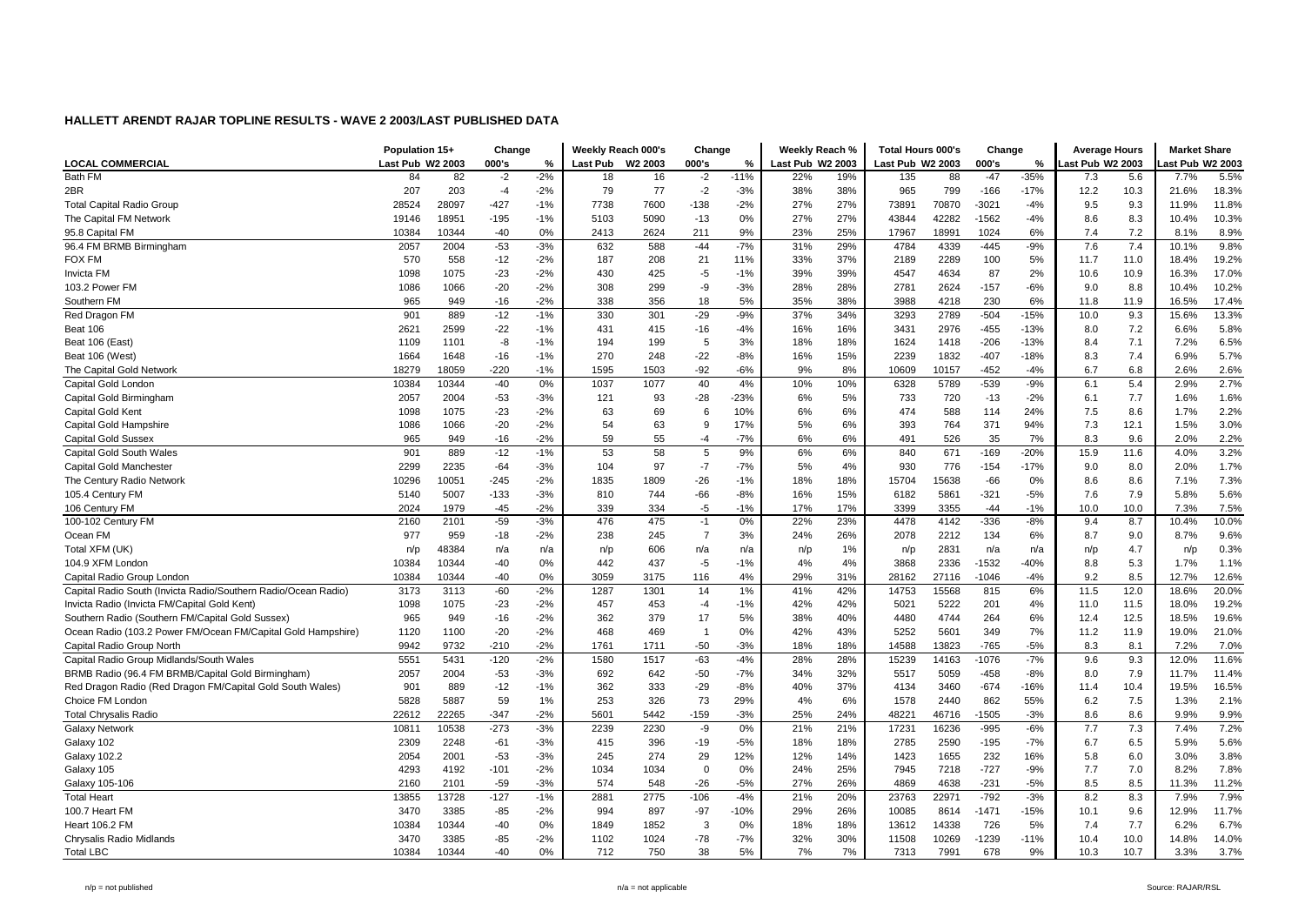| Last Pub W2 2003<br>000's<br><b>LOCAL COMMERCIAL</b><br>000's<br>Last Pub<br>W2 2003<br>000's<br>Last Pub W2 2003<br>Last Pub W2 2003<br>%<br>ast Pub W2 2003<br>ast Pub W2 2003<br>%<br>%<br>Bath FM<br>5.5%<br>84<br>82<br>$-2$<br>$-2%$<br>18<br>16<br>$-2$<br>$-11%$<br>22%<br>19%<br>135<br>88<br>$-47$<br>$-35%$<br>7.3<br>7.7%<br>5.6<br>207<br>203<br>79<br>77<br>$-2$<br>799<br>$-166$<br>$-17%$<br>10.3<br>18.3%<br>2BR<br>$-4$<br>$-2%$<br>$-3%$<br>38%<br>38%<br>965<br>12.2<br>21.6%<br>$-427$<br>7738<br>7600<br>27%<br>27%<br>9.3<br>11.8%<br>28524<br>28097<br>$-138$<br>$-2%$<br>73891<br>70870<br>$-3021$<br>9.5<br><b>Total Capital Radio Group</b><br>$-1%$<br>$-4%$<br>11.9%<br>27%<br>27%<br>42282<br>$-1562$<br>8.3<br>10.3%<br>The Capital FM Network<br>18951<br>$-195$<br>$-1%$<br>5103<br>5090<br>$-13$<br>0%<br>43844<br>$-4%$<br>8.6<br>10.4%<br>19146<br>0%<br>9%<br>23%<br>25%<br>1024<br>7.2<br>8.9%<br>10384<br>10344<br>$-40$<br>2413<br>2624<br>211<br>17967<br>18991<br>6%<br>7.4<br>8.1%<br>95.8 Capital FM<br>$-53$<br>$-9%$<br>7.6<br>7.4<br>9.8%<br>96.4 FM BRMB Birmingham<br>2057<br>2004<br>$-3%$<br>632<br>588<br>$-44$<br>$-7%$<br>31%<br>29%<br>4784<br>4339<br>$-445$<br>10.1%<br>558<br>19.2%<br><b>FOX FM</b><br>570<br>$-12$<br>$-2%$<br>187<br>208<br>21<br>11%<br>33%<br>37%<br>2189<br>2289<br>100<br>5%<br>11.7<br>11.0<br>18.4%<br>$-23$<br>$-2%$<br>430<br>$-5$<br>39%<br>87<br>2%<br>10.9<br>17.0%<br><b>Invicta FM</b><br>1075<br>425<br>$-1%$<br>39%<br>4547<br>4634<br>10.6<br>16.3%<br>1098<br>10.2%<br>103.2 Power FM<br>1086<br>1066<br>$-20$<br>$-2%$<br>308<br>299<br>-9<br>$-3%$<br>28%<br>28%<br>2781<br>2624<br>$-157$<br>$-6%$<br>9.0<br>8.8<br>10.4%<br>338<br>5%<br>35%<br>230<br>11.9<br>17.4%<br>Southern FM<br>965<br>949<br>$-16$<br>$-2%$<br>356<br>18<br>38%<br>3988<br>4218<br>6%<br>11.8<br>16.5%<br>13.3%<br>$-12$<br>$-1%$<br>330<br>301<br>$-29$<br>$-9%$<br>34%<br>2789<br>$-504$<br>$-15%$<br>9.3<br>901<br>889<br>37%<br>3293<br>15.6%<br>Red Dragon FM<br>10.0<br>2621<br>$-22$<br>$-455$<br>7.2<br>5.8%<br>Beat 106<br>2599<br>$-1%$<br>431<br>415<br>$-16$<br>$-4%$<br>16%<br>16%<br>3431<br>2976<br>$-13%$<br>6.6%<br>8.0<br>6.5%<br>1109<br>-8<br>$-1%$<br>194<br>199<br>5<br>3%<br>18%<br>18%<br>1624<br>1418<br>$-206$<br>$-13%$<br>7.1<br>7.2%<br>Beat 106 (East)<br>1101<br>8.4<br>5.7%<br>270<br>$-22$<br>$-8%$<br>15%<br>2239<br>1832<br>$-407$<br>7.4<br>6.9%<br>Beat 106 (West)<br>1664<br>1648<br>$-16$<br>$-1%$<br>248<br>16%<br>$-18%$<br>8.3<br>$-92$<br>6.8<br>2.6%<br>$-220$<br>$-1%$<br>1595<br>$-6%$<br>8%<br>10157<br>$-452$<br>$-4%$<br>6.7<br>2.6%<br>The Capital Gold Network<br>18279<br>18059<br>1503<br>9%<br>10609<br>2.7%<br>0%<br>40<br>$-539$<br>5.4<br>Capital Gold Londor<br>10384<br>10344<br>$-40$<br>1037<br>1077<br>4%<br>10%<br>10%<br>6328<br>5789<br>$-9%$<br>6.1<br>2.9%<br>$-53$<br>$-3%$<br>$-28$<br>$-23%$<br>5%<br>733<br>720<br>$-13$<br>$-2%$<br>7.7<br>1.6%<br>Capital Gold Birmingham<br>2057<br>2004<br>121<br>93<br>6%<br>1.6%<br>6.1<br>588<br>8.6<br>2.2%<br>Capital Gold Kent<br>1098<br>1075<br>$-23$<br>$-2%$<br>63<br>69<br>6<br>10%<br>6%<br>6%<br>474<br>114<br>24%<br>7.5<br>1.7%<br>3.0%<br>54<br>63<br>393<br>371<br>7.3<br>12.1<br>Capital Gold Hampshire<br>1086<br>1066<br>$-20$<br>$-2%$<br>9<br>17%<br>5%<br>6%<br>764<br>94%<br>1.5%<br>$-2%$<br>59<br>$-7%$<br>6%<br>35<br>7%<br>8.3<br>9.6<br>2.2%<br><b>Capital Gold Sussex</b><br>965<br>949<br>$-16$<br>55<br>$-4$<br>6%<br>491<br>526<br>2.0%<br>9%<br>3.2%<br>901<br>$-12$<br>$-1%$<br>53<br>58<br>5<br>6%<br>6%<br>840<br>671<br>$-169$<br>$-20%$<br>15.9<br>11.6<br>4.0%<br>Capital Gold South Wales<br>889<br>$-7$<br>1.7%<br>2299<br>2235<br>$-64$<br>$-3%$<br>104<br>97<br>$-7%$<br>5%<br>4%<br>930<br>776<br>$-154$<br>$-17%$<br>8.0<br>2.0%<br>Capital Gold Manchester<br>9.0<br>7.3%<br>1835<br>8.6<br>The Century Radio Network<br>10296<br>10051<br>$-245$<br>$-2%$<br>1809<br>$-26$<br>$-1%$<br>18%<br>18%<br>15704<br>15638<br>$-66$<br>$0\%$<br>7.1%<br>8.6<br>$-3%$<br>$-66$<br>$-321$<br>7.9<br>5.6%<br>105.4 Century FM<br>5007<br>$-133$<br>810<br>744<br>$-8%$<br>16%<br>15%<br>6182<br>5861<br>$-5%$<br>7.6<br>5.8%<br>5140<br>1979<br>$-45$<br>$-2%$<br>339<br>334<br>$-5$<br>$-1%$<br>17%<br>17%<br>3399<br>3355<br>$-44$<br>$-1%$<br>10.0<br>10.0<br>7.5%<br>106 Century FM<br>2024<br>7.3%<br>$-59$<br>$-3%$<br>475<br>0%<br>$-336$<br>8.7<br>10.0%<br>100-102 Century FM<br>2160<br>2101<br>476<br>$-1$<br>22%<br>23%<br>4478<br>4142<br>$-8%$<br>9.4<br>10.4%<br>$\overline{7}$<br>9.6%<br>Ocean FM<br>977<br>959<br>$-18$<br>$-2%$<br>238<br>245<br>3%<br>24%<br>26%<br>2078<br>2212<br>134<br>6%<br>8.7<br>9.0<br>8.7%<br>0.3%<br>Total XFM (UK)<br>48384<br>606<br>2831<br>4.7<br>n/a<br>n/p<br>n/a<br>1%<br>n/p<br>n/a<br>n/p<br>n/a<br>n/a<br>n/p<br>n/a<br>n/p<br>n/p<br>104.9 XFM London<br>10384<br>10344<br>$-40$<br>0%<br>442<br>437<br>$-5$<br>$-1%$<br>4%<br>3868<br>2336<br>$-1532$<br>$-40%$<br>5.3<br>1.1%<br>4%<br>8.8<br>1.7%<br>12.6%<br>10384<br>10344<br>$-40$<br>0%<br>3059<br>3175<br>4%<br>29%<br>31%<br>28162<br>27116<br>$-1046$<br>$-4%$<br>9.2<br>8.5<br>12.7%<br>Capital Radio Group London<br>116<br>$-2%$<br>$-60$<br>1287<br>14<br>1%<br>41%<br>42%<br>815<br>6%<br>11.5<br>12.0<br>20.0%<br>Capital Radio South (Invicta Radio/Southern Radio/Ocean Radio)<br>3173<br>3113<br>1301<br>14753<br>15568<br>18.6%<br>$-23$<br>$-2%$<br>457<br>453<br>$-4$<br>42%<br>42%<br>5222<br>201<br>19.2%<br>Invicta Radio (Invicta FM/Capital Gold Kent)<br>1098<br>1075<br>$-1%$<br>5021<br>4%<br>11.0<br>11.5<br>18.0%<br>$-2%$<br>362<br>379<br>17<br>5%<br>38%<br>40%<br>4744<br>264<br>12.5<br>19.6%<br>Southern Radio (Southern FM/Capital Gold Sussex)<br>965<br>949<br>$-16$<br>4480<br>6%<br>12.4<br>18.5%<br>Ocean Radio (103.2 Power FM/Ocean FM/Capital Gold Hampshire)<br>$-20$<br>$-2%$<br>468<br>469<br>42%<br>43%<br>5252<br>5601<br>349<br>7%<br>11.2<br>11.9<br>19.0%<br>21.0%<br>1120<br>1100<br>$\overline{1}$<br>0%<br>9732<br>$-50$<br>$-3%$<br>$-765$<br>8.1<br>7.0%<br>Capital Radio Group North<br>9942<br>$-210$<br>$-2%$<br>1761<br>1711<br>18%<br>18%<br>14588<br>13823<br>$-5%$<br>8.3<br>7.2%<br>$-2%$<br>$-7%$<br>9.3<br>11.6%<br>Capital Radio Group Midlands/South Wales<br>5551<br>5431<br>$-120$<br>1580<br>1517<br>$-63$<br>$-4%$<br>28%<br>28%<br>15239<br>14163<br>$-1076$<br>12.0%<br>9.6<br>692<br>$-50$<br>32%<br>$-458$<br>7.9<br>BRMB Radio (96.4 FM BRMB/Capital Gold Birmingham)<br>2057<br>2004<br>$-53$<br>642<br>$-7%$<br>34%<br>5517<br>5059<br>$-8%$<br>11.7%<br>11.4%<br>$-3%$<br>8.0<br>362<br>$-29$<br>37%<br>10.4<br>16.5%<br>Red Dragon Radio (Red Dragon FM/Capital Gold South Wales)<br>901<br>889<br>$-12$<br>$-1%$<br>333<br>$-8%$<br>40%<br>4134<br>3460<br>$-674$<br>$-16%$<br>11.4<br>19.5%<br>59<br>253<br>73<br>7.5<br>2.1%<br>Choice FM London<br>5828<br>5887<br>1%<br>326<br>29%<br>4%<br>6%<br>1578<br>2440<br>862<br>55%<br>6.2<br>1.3%<br>$-347$<br>$-2%$<br>5601<br>$-159$<br>$-3%$<br>24%<br>$-1505$<br>$-3%$<br>8.6<br>8.6<br>9.9%<br><b>Total Chrysalis Radio</b><br>22612<br>22265<br>5442<br>25%<br>48221<br>46716<br>9.9%<br>$-273$<br>$-3%$<br>7.2%<br><b>Galaxy Network</b><br>10811<br>10538<br>2239<br>2230<br>-9<br>0%<br>21%<br>21%<br>17231<br>16236<br>$-995$<br>$-6%$<br>7.7<br>7.3<br>7.4%<br>5.6%<br>Galaxy 102<br>2309<br>2248<br>$-61$<br>$-3%$<br>415<br>396<br>-19<br>$-5%$<br>18%<br>18%<br>2785<br>2590<br>$-195$<br>$-7%$<br>6.7<br>6.5<br>5.9%<br>3.8%<br>2054<br>2001<br>$-53$<br>$-3%$<br>245<br>274<br>29<br>12%<br>12%<br>14%<br>1423<br>1655<br>232<br>16%<br>6.0<br>3.0%<br><b>Galaxy 102.2</b><br>5.8<br>$-727$<br>7.0<br>7.8%<br>4293<br>$-101$<br>$-2%$<br>1034<br>1034<br>$\mathbf 0$<br>0%<br>24%<br>25%<br>7945<br>7218<br>$-9%$<br>7.7<br>8.2%<br>Galaxy 105<br>4192<br>$-59$<br>$-3%$<br>574<br>$-26$<br>$-5%$<br>27%<br>26%<br>4869<br>4638<br>$-231$<br>$-5%$<br>8.5<br>8.5<br>11.2%<br>Galaxy 105-106<br>2160<br>2101<br>548<br>11.3%<br>$-4%$<br>$-792$<br>7.9%<br><b>Total Heart</b><br>13855<br>13728<br>$-127$<br>$-1%$<br>2881<br>2775<br>$-106$<br>21%<br>20%<br>23763<br>22971<br>$-3%$<br>8.2<br>8.3<br>7.9%<br>$-1471$<br>9.6<br>11.7%<br>100.7 Heart FM<br>3470<br>3385<br>$-85$<br>$-2%$<br>994<br>897<br>$-97$<br>$-10%$<br>29%<br>26%<br>10085<br>8614<br>$-15%$<br>10.1<br>12.9%<br>3<br>7.7<br>6.7%<br>10384<br>10344<br>$-40$<br>0%<br>1852<br>18%<br>18%<br>13612<br>14338<br>726<br>5%<br>7.4<br>Heart 106.2 FM<br>1849<br>$0\%$<br>6.2%<br>$-78$<br>$-1239$<br>$-11%$<br>10.0<br>14.0%<br>3385<br>$-85$<br>$-2%$<br>1102<br>1024<br>$-7%$<br>32%<br>30%<br>11508<br>10269<br>10.4<br>14.8%<br>Chrysalis Radio Midlands<br>3470<br><b>Total LBC</b><br>10344<br>$-40$<br>38<br>5%<br>7%<br>7991<br>678<br>9%<br>10.7<br>3.7%<br>10384<br>0%<br>712<br>750<br>7%<br>7313<br>10.3<br>3.3% | Population 15+ |  | Change |  | Weekly Reach 000's | Change | Weekly Reach % | <b>Total Hours 000's</b> | Change | <b>Average Hours</b> | <b>Market Share</b> |  |
|-----------------------------------------------------------------------------------------------------------------------------------------------------------------------------------------------------------------------------------------------------------------------------------------------------------------------------------------------------------------------------------------------------------------------------------------------------------------------------------------------------------------------------------------------------------------------------------------------------------------------------------------------------------------------------------------------------------------------------------------------------------------------------------------------------------------------------------------------------------------------------------------------------------------------------------------------------------------------------------------------------------------------------------------------------------------------------------------------------------------------------------------------------------------------------------------------------------------------------------------------------------------------------------------------------------------------------------------------------------------------------------------------------------------------------------------------------------------------------------------------------------------------------------------------------------------------------------------------------------------------------------------------------------------------------------------------------------------------------------------------------------------------------------------------------------------------------------------------------------------------------------------------------------------------------------------------------------------------------------------------------------------------------------------------------------------------------------------------------------------------------------------------------------------------------------------------------------------------------------------------------------------------------------------------------------------------------------------------------------------------------------------------------------------------------------------------------------------------------------------------------------------------------------------------------------------------------------------------------------------------------------------------------------------------------------------------------------------------------------------------------------------------------------------------------------------------------------------------------------------------------------------------------------------------------------------------------------------------------------------------------------------------------------------------------------------------------------------------------------------------------------------------------------------------------------------------------------------------------------------------------------------------------------------------------------------------------------------------------------------------------------------------------------------------------------------------------------------------------------------------------------------------------------------------------------------------------------------------------------------------------------------------------------------------------------------------------------------------------------------------------------------------------------------------------------------------------------------------------------------------------------------------------------------------------------------------------------------------------------------------------------------------------------------------------------------------------------------------------------------------------------------------------------------------------------------------------------------------------------------------------------------------------------------------------------------------------------------------------------------------------------------------------------------------------------------------------------------------------------------------------------------------------------------------------------------------------------------------------------------------------------------------------------------------------------------------------------------------------------------------------------------------------------------------------------------------------------------------------------------------------------------------------------------------------------------------------------------------------------------------------------------------------------------------------------------------------------------------------------------------------------------------------------------------------------------------------------------------------------------------------------------------------------------------------------------------------------------------------------------------------------------------------------------------------------------------------------------------------------------------------------------------------------------------------------------------------------------------------------------------------------------------------------------------------------------------------------------------------------------------------------------------------------------------------------------------------------------------------------------------------------------------------------------------------------------------------------------------------------------------------------------------------------------------------------------------------------------------------------------------------------------------------------------------------------------------------------------------------------------------------------------------------------------------------------------------------------------------------------------------------------------------------------------------------------------------------------------------------------------------------------------------------------------------------------------------------------------------------------------------------------------------------------------------------------------------------------------------------------------------------------------------------------------------------------------------------------------------------------------------------------------------------------------------------------------------------------------------------------------------------------------------------------------------------------------------------------------------------------------------------------------------------------------------------------------------------------------------------------------------------------------------------------------------------------------------------------------------------------------------------------------------------------------------------------------------------------------------------------------------------------------------------------------------------------------------------------------------------------------------------------------------------------------------------------------------------------------------------------------------------------------------------------------------------------------------------------------------------------------------------------------------------------------------------------------------------------------------------------------------------------------------------------------------------------------------------------------------------------------------------------------------------------------------------------------------------------------------------------------------------------------------------------------------------------------------------------------------------------------------------------------------------------------------------------------------------------------------------------------------------------------------------------------------------------------------------------------------------------------------------------------------------------------------------------------------------------------------------------------------------------------------------------------------------------------------------------------------------------------------------------------------------------------------------------------------------------------------------------------|----------------|--|--------|--|--------------------|--------|----------------|--------------------------|--------|----------------------|---------------------|--|
|                                                                                                                                                                                                                                                                                                                                                                                                                                                                                                                                                                                                                                                                                                                                                                                                                                                                                                                                                                                                                                                                                                                                                                                                                                                                                                                                                                                                                                                                                                                                                                                                                                                                                                                                                                                                                                                                                                                                                                                                                                                                                                                                                                                                                                                                                                                                                                                                                                                                                                                                                                                                                                                                                                                                                                                                                                                                                                                                                                                                                                                                                                                                                                                                                                                                                                                                                                                                                                                                                                                                                                                                                                                                                                                                                                                                                                                                                                                                                                                                                                                                                                                                                                                                                                                                                                                                                                                                                                                                                                                                                                                                                                                                                                                                                                                                                                                                                                                                                                                                                                                                                                                                                                                                                                                                                                                                                                                                                                                                                                                                                                                                                                                                                                                                                                                                                                                                                                                                                                                                                                                                                                                                                                                                                                                                                                                                                                                                                                                                                                                                                                                                                                                                                                                                                                                                                                                                                                                                                                                                                                                                                                                                                                                                                                                                                                                                                                                                                                                                                                                                                                                                                                                                                                                                                                                                                                                                                                                                                                                                                                                                                                                                                                                                                                                                                                                                                                                                                                                                                                                                                                                                                                                                                                                                                                                                                                                                                                                                                                                         |                |  |        |  |                    |        |                |                          |        |                      |                     |  |
|                                                                                                                                                                                                                                                                                                                                                                                                                                                                                                                                                                                                                                                                                                                                                                                                                                                                                                                                                                                                                                                                                                                                                                                                                                                                                                                                                                                                                                                                                                                                                                                                                                                                                                                                                                                                                                                                                                                                                                                                                                                                                                                                                                                                                                                                                                                                                                                                                                                                                                                                                                                                                                                                                                                                                                                                                                                                                                                                                                                                                                                                                                                                                                                                                                                                                                                                                                                                                                                                                                                                                                                                                                                                                                                                                                                                                                                                                                                                                                                                                                                                                                                                                                                                                                                                                                                                                                                                                                                                                                                                                                                                                                                                                                                                                                                                                                                                                                                                                                                                                                                                                                                                                                                                                                                                                                                                                                                                                                                                                                                                                                                                                                                                                                                                                                                                                                                                                                                                                                                                                                                                                                                                                                                                                                                                                                                                                                                                                                                                                                                                                                                                                                                                                                                                                                                                                                                                                                                                                                                                                                                                                                                                                                                                                                                                                                                                                                                                                                                                                                                                                                                                                                                                                                                                                                                                                                                                                                                                                                                                                                                                                                                                                                                                                                                                                                                                                                                                                                                                                                                                                                                                                                                                                                                                                                                                                                                                                                                                                                                         |                |  |        |  |                    |        |                |                          |        |                      |                     |  |
|                                                                                                                                                                                                                                                                                                                                                                                                                                                                                                                                                                                                                                                                                                                                                                                                                                                                                                                                                                                                                                                                                                                                                                                                                                                                                                                                                                                                                                                                                                                                                                                                                                                                                                                                                                                                                                                                                                                                                                                                                                                                                                                                                                                                                                                                                                                                                                                                                                                                                                                                                                                                                                                                                                                                                                                                                                                                                                                                                                                                                                                                                                                                                                                                                                                                                                                                                                                                                                                                                                                                                                                                                                                                                                                                                                                                                                                                                                                                                                                                                                                                                                                                                                                                                                                                                                                                                                                                                                                                                                                                                                                                                                                                                                                                                                                                                                                                                                                                                                                                                                                                                                                                                                                                                                                                                                                                                                                                                                                                                                                                                                                                                                                                                                                                                                                                                                                                                                                                                                                                                                                                                                                                                                                                                                                                                                                                                                                                                                                                                                                                                                                                                                                                                                                                                                                                                                                                                                                                                                                                                                                                                                                                                                                                                                                                                                                                                                                                                                                                                                                                                                                                                                                                                                                                                                                                                                                                                                                                                                                                                                                                                                                                                                                                                                                                                                                                                                                                                                                                                                                                                                                                                                                                                                                                                                                                                                                                                                                                                                                         |                |  |        |  |                    |        |                |                          |        |                      |                     |  |
|                                                                                                                                                                                                                                                                                                                                                                                                                                                                                                                                                                                                                                                                                                                                                                                                                                                                                                                                                                                                                                                                                                                                                                                                                                                                                                                                                                                                                                                                                                                                                                                                                                                                                                                                                                                                                                                                                                                                                                                                                                                                                                                                                                                                                                                                                                                                                                                                                                                                                                                                                                                                                                                                                                                                                                                                                                                                                                                                                                                                                                                                                                                                                                                                                                                                                                                                                                                                                                                                                                                                                                                                                                                                                                                                                                                                                                                                                                                                                                                                                                                                                                                                                                                                                                                                                                                                                                                                                                                                                                                                                                                                                                                                                                                                                                                                                                                                                                                                                                                                                                                                                                                                                                                                                                                                                                                                                                                                                                                                                                                                                                                                                                                                                                                                                                                                                                                                                                                                                                                                                                                                                                                                                                                                                                                                                                                                                                                                                                                                                                                                                                                                                                                                                                                                                                                                                                                                                                                                                                                                                                                                                                                                                                                                                                                                                                                                                                                                                                                                                                                                                                                                                                                                                                                                                                                                                                                                                                                                                                                                                                                                                                                                                                                                                                                                                                                                                                                                                                                                                                                                                                                                                                                                                                                                                                                                                                                                                                                                                                                         |                |  |        |  |                    |        |                |                          |        |                      |                     |  |
|                                                                                                                                                                                                                                                                                                                                                                                                                                                                                                                                                                                                                                                                                                                                                                                                                                                                                                                                                                                                                                                                                                                                                                                                                                                                                                                                                                                                                                                                                                                                                                                                                                                                                                                                                                                                                                                                                                                                                                                                                                                                                                                                                                                                                                                                                                                                                                                                                                                                                                                                                                                                                                                                                                                                                                                                                                                                                                                                                                                                                                                                                                                                                                                                                                                                                                                                                                                                                                                                                                                                                                                                                                                                                                                                                                                                                                                                                                                                                                                                                                                                                                                                                                                                                                                                                                                                                                                                                                                                                                                                                                                                                                                                                                                                                                                                                                                                                                                                                                                                                                                                                                                                                                                                                                                                                                                                                                                                                                                                                                                                                                                                                                                                                                                                                                                                                                                                                                                                                                                                                                                                                                                                                                                                                                                                                                                                                                                                                                                                                                                                                                                                                                                                                                                                                                                                                                                                                                                                                                                                                                                                                                                                                                                                                                                                                                                                                                                                                                                                                                                                                                                                                                                                                                                                                                                                                                                                                                                                                                                                                                                                                                                                                                                                                                                                                                                                                                                                                                                                                                                                                                                                                                                                                                                                                                                                                                                                                                                                                                                         |                |  |        |  |                    |        |                |                          |        |                      |                     |  |
|                                                                                                                                                                                                                                                                                                                                                                                                                                                                                                                                                                                                                                                                                                                                                                                                                                                                                                                                                                                                                                                                                                                                                                                                                                                                                                                                                                                                                                                                                                                                                                                                                                                                                                                                                                                                                                                                                                                                                                                                                                                                                                                                                                                                                                                                                                                                                                                                                                                                                                                                                                                                                                                                                                                                                                                                                                                                                                                                                                                                                                                                                                                                                                                                                                                                                                                                                                                                                                                                                                                                                                                                                                                                                                                                                                                                                                                                                                                                                                                                                                                                                                                                                                                                                                                                                                                                                                                                                                                                                                                                                                                                                                                                                                                                                                                                                                                                                                                                                                                                                                                                                                                                                                                                                                                                                                                                                                                                                                                                                                                                                                                                                                                                                                                                                                                                                                                                                                                                                                                                                                                                                                                                                                                                                                                                                                                                                                                                                                                                                                                                                                                                                                                                                                                                                                                                                                                                                                                                                                                                                                                                                                                                                                                                                                                                                                                                                                                                                                                                                                                                                                                                                                                                                                                                                                                                                                                                                                                                                                                                                                                                                                                                                                                                                                                                                                                                                                                                                                                                                                                                                                                                                                                                                                                                                                                                                                                                                                                                                                                         |                |  |        |  |                    |        |                |                          |        |                      |                     |  |
|                                                                                                                                                                                                                                                                                                                                                                                                                                                                                                                                                                                                                                                                                                                                                                                                                                                                                                                                                                                                                                                                                                                                                                                                                                                                                                                                                                                                                                                                                                                                                                                                                                                                                                                                                                                                                                                                                                                                                                                                                                                                                                                                                                                                                                                                                                                                                                                                                                                                                                                                                                                                                                                                                                                                                                                                                                                                                                                                                                                                                                                                                                                                                                                                                                                                                                                                                                                                                                                                                                                                                                                                                                                                                                                                                                                                                                                                                                                                                                                                                                                                                                                                                                                                                                                                                                                                                                                                                                                                                                                                                                                                                                                                                                                                                                                                                                                                                                                                                                                                                                                                                                                                                                                                                                                                                                                                                                                                                                                                                                                                                                                                                                                                                                                                                                                                                                                                                                                                                                                                                                                                                                                                                                                                                                                                                                                                                                                                                                                                                                                                                                                                                                                                                                                                                                                                                                                                                                                                                                                                                                                                                                                                                                                                                                                                                                                                                                                                                                                                                                                                                                                                                                                                                                                                                                                                                                                                                                                                                                                                                                                                                                                                                                                                                                                                                                                                                                                                                                                                                                                                                                                                                                                                                                                                                                                                                                                                                                                                                                                         |                |  |        |  |                    |        |                |                          |        |                      |                     |  |
|                                                                                                                                                                                                                                                                                                                                                                                                                                                                                                                                                                                                                                                                                                                                                                                                                                                                                                                                                                                                                                                                                                                                                                                                                                                                                                                                                                                                                                                                                                                                                                                                                                                                                                                                                                                                                                                                                                                                                                                                                                                                                                                                                                                                                                                                                                                                                                                                                                                                                                                                                                                                                                                                                                                                                                                                                                                                                                                                                                                                                                                                                                                                                                                                                                                                                                                                                                                                                                                                                                                                                                                                                                                                                                                                                                                                                                                                                                                                                                                                                                                                                                                                                                                                                                                                                                                                                                                                                                                                                                                                                                                                                                                                                                                                                                                                                                                                                                                                                                                                                                                                                                                                                                                                                                                                                                                                                                                                                                                                                                                                                                                                                                                                                                                                                                                                                                                                                                                                                                                                                                                                                                                                                                                                                                                                                                                                                                                                                                                                                                                                                                                                                                                                                                                                                                                                                                                                                                                                                                                                                                                                                                                                                                                                                                                                                                                                                                                                                                                                                                                                                                                                                                                                                                                                                                                                                                                                                                                                                                                                                                                                                                                                                                                                                                                                                                                                                                                                                                                                                                                                                                                                                                                                                                                                                                                                                                                                                                                                                                                         |                |  |        |  |                    |        |                |                          |        |                      |                     |  |
|                                                                                                                                                                                                                                                                                                                                                                                                                                                                                                                                                                                                                                                                                                                                                                                                                                                                                                                                                                                                                                                                                                                                                                                                                                                                                                                                                                                                                                                                                                                                                                                                                                                                                                                                                                                                                                                                                                                                                                                                                                                                                                                                                                                                                                                                                                                                                                                                                                                                                                                                                                                                                                                                                                                                                                                                                                                                                                                                                                                                                                                                                                                                                                                                                                                                                                                                                                                                                                                                                                                                                                                                                                                                                                                                                                                                                                                                                                                                                                                                                                                                                                                                                                                                                                                                                                                                                                                                                                                                                                                                                                                                                                                                                                                                                                                                                                                                                                                                                                                                                                                                                                                                                                                                                                                                                                                                                                                                                                                                                                                                                                                                                                                                                                                                                                                                                                                                                                                                                                                                                                                                                                                                                                                                                                                                                                                                                                                                                                                                                                                                                                                                                                                                                                                                                                                                                                                                                                                                                                                                                                                                                                                                                                                                                                                                                                                                                                                                                                                                                                                                                                                                                                                                                                                                                                                                                                                                                                                                                                                                                                                                                                                                                                                                                                                                                                                                                                                                                                                                                                                                                                                                                                                                                                                                                                                                                                                                                                                                                                                         |                |  |        |  |                    |        |                |                          |        |                      |                     |  |
|                                                                                                                                                                                                                                                                                                                                                                                                                                                                                                                                                                                                                                                                                                                                                                                                                                                                                                                                                                                                                                                                                                                                                                                                                                                                                                                                                                                                                                                                                                                                                                                                                                                                                                                                                                                                                                                                                                                                                                                                                                                                                                                                                                                                                                                                                                                                                                                                                                                                                                                                                                                                                                                                                                                                                                                                                                                                                                                                                                                                                                                                                                                                                                                                                                                                                                                                                                                                                                                                                                                                                                                                                                                                                                                                                                                                                                                                                                                                                                                                                                                                                                                                                                                                                                                                                                                                                                                                                                                                                                                                                                                                                                                                                                                                                                                                                                                                                                                                                                                                                                                                                                                                                                                                                                                                                                                                                                                                                                                                                                                                                                                                                                                                                                                                                                                                                                                                                                                                                                                                                                                                                                                                                                                                                                                                                                                                                                                                                                                                                                                                                                                                                                                                                                                                                                                                                                                                                                                                                                                                                                                                                                                                                                                                                                                                                                                                                                                                                                                                                                                                                                                                                                                                                                                                                                                                                                                                                                                                                                                                                                                                                                                                                                                                                                                                                                                                                                                                                                                                                                                                                                                                                                                                                                                                                                                                                                                                                                                                                                                         |                |  |        |  |                    |        |                |                          |        |                      |                     |  |
|                                                                                                                                                                                                                                                                                                                                                                                                                                                                                                                                                                                                                                                                                                                                                                                                                                                                                                                                                                                                                                                                                                                                                                                                                                                                                                                                                                                                                                                                                                                                                                                                                                                                                                                                                                                                                                                                                                                                                                                                                                                                                                                                                                                                                                                                                                                                                                                                                                                                                                                                                                                                                                                                                                                                                                                                                                                                                                                                                                                                                                                                                                                                                                                                                                                                                                                                                                                                                                                                                                                                                                                                                                                                                                                                                                                                                                                                                                                                                                                                                                                                                                                                                                                                                                                                                                                                                                                                                                                                                                                                                                                                                                                                                                                                                                                                                                                                                                                                                                                                                                                                                                                                                                                                                                                                                                                                                                                                                                                                                                                                                                                                                                                                                                                                                                                                                                                                                                                                                                                                                                                                                                                                                                                                                                                                                                                                                                                                                                                                                                                                                                                                                                                                                                                                                                                                                                                                                                                                                                                                                                                                                                                                                                                                                                                                                                                                                                                                                                                                                                                                                                                                                                                                                                                                                                                                                                                                                                                                                                                                                                                                                                                                                                                                                                                                                                                                                                                                                                                                                                                                                                                                                                                                                                                                                                                                                                                                                                                                                                                         |                |  |        |  |                    |        |                |                          |        |                      |                     |  |
|                                                                                                                                                                                                                                                                                                                                                                                                                                                                                                                                                                                                                                                                                                                                                                                                                                                                                                                                                                                                                                                                                                                                                                                                                                                                                                                                                                                                                                                                                                                                                                                                                                                                                                                                                                                                                                                                                                                                                                                                                                                                                                                                                                                                                                                                                                                                                                                                                                                                                                                                                                                                                                                                                                                                                                                                                                                                                                                                                                                                                                                                                                                                                                                                                                                                                                                                                                                                                                                                                                                                                                                                                                                                                                                                                                                                                                                                                                                                                                                                                                                                                                                                                                                                                                                                                                                                                                                                                                                                                                                                                                                                                                                                                                                                                                                                                                                                                                                                                                                                                                                                                                                                                                                                                                                                                                                                                                                                                                                                                                                                                                                                                                                                                                                                                                                                                                                                                                                                                                                                                                                                                                                                                                                                                                                                                                                                                                                                                                                                                                                                                                                                                                                                                                                                                                                                                                                                                                                                                                                                                                                                                                                                                                                                                                                                                                                                                                                                                                                                                                                                                                                                                                                                                                                                                                                                                                                                                                                                                                                                                                                                                                                                                                                                                                                                                                                                                                                                                                                                                                                                                                                                                                                                                                                                                                                                                                                                                                                                                                                         |                |  |        |  |                    |        |                |                          |        |                      |                     |  |
|                                                                                                                                                                                                                                                                                                                                                                                                                                                                                                                                                                                                                                                                                                                                                                                                                                                                                                                                                                                                                                                                                                                                                                                                                                                                                                                                                                                                                                                                                                                                                                                                                                                                                                                                                                                                                                                                                                                                                                                                                                                                                                                                                                                                                                                                                                                                                                                                                                                                                                                                                                                                                                                                                                                                                                                                                                                                                                                                                                                                                                                                                                                                                                                                                                                                                                                                                                                                                                                                                                                                                                                                                                                                                                                                                                                                                                                                                                                                                                                                                                                                                                                                                                                                                                                                                                                                                                                                                                                                                                                                                                                                                                                                                                                                                                                                                                                                                                                                                                                                                                                                                                                                                                                                                                                                                                                                                                                                                                                                                                                                                                                                                                                                                                                                                                                                                                                                                                                                                                                                                                                                                                                                                                                                                                                                                                                                                                                                                                                                                                                                                                                                                                                                                                                                                                                                                                                                                                                                                                                                                                                                                                                                                                                                                                                                                                                                                                                                                                                                                                                                                                                                                                                                                                                                                                                                                                                                                                                                                                                                                                                                                                                                                                                                                                                                                                                                                                                                                                                                                                                                                                                                                                                                                                                                                                                                                                                                                                                                                                                         |                |  |        |  |                    |        |                |                          |        |                      |                     |  |
|                                                                                                                                                                                                                                                                                                                                                                                                                                                                                                                                                                                                                                                                                                                                                                                                                                                                                                                                                                                                                                                                                                                                                                                                                                                                                                                                                                                                                                                                                                                                                                                                                                                                                                                                                                                                                                                                                                                                                                                                                                                                                                                                                                                                                                                                                                                                                                                                                                                                                                                                                                                                                                                                                                                                                                                                                                                                                                                                                                                                                                                                                                                                                                                                                                                                                                                                                                                                                                                                                                                                                                                                                                                                                                                                                                                                                                                                                                                                                                                                                                                                                                                                                                                                                                                                                                                                                                                                                                                                                                                                                                                                                                                                                                                                                                                                                                                                                                                                                                                                                                                                                                                                                                                                                                                                                                                                                                                                                                                                                                                                                                                                                                                                                                                                                                                                                                                                                                                                                                                                                                                                                                                                                                                                                                                                                                                                                                                                                                                                                                                                                                                                                                                                                                                                                                                                                                                                                                                                                                                                                                                                                                                                                                                                                                                                                                                                                                                                                                                                                                                                                                                                                                                                                                                                                                                                                                                                                                                                                                                                                                                                                                                                                                                                                                                                                                                                                                                                                                                                                                                                                                                                                                                                                                                                                                                                                                                                                                                                                                                         |                |  |        |  |                    |        |                |                          |        |                      |                     |  |
|                                                                                                                                                                                                                                                                                                                                                                                                                                                                                                                                                                                                                                                                                                                                                                                                                                                                                                                                                                                                                                                                                                                                                                                                                                                                                                                                                                                                                                                                                                                                                                                                                                                                                                                                                                                                                                                                                                                                                                                                                                                                                                                                                                                                                                                                                                                                                                                                                                                                                                                                                                                                                                                                                                                                                                                                                                                                                                                                                                                                                                                                                                                                                                                                                                                                                                                                                                                                                                                                                                                                                                                                                                                                                                                                                                                                                                                                                                                                                                                                                                                                                                                                                                                                                                                                                                                                                                                                                                                                                                                                                                                                                                                                                                                                                                                                                                                                                                                                                                                                                                                                                                                                                                                                                                                                                                                                                                                                                                                                                                                                                                                                                                                                                                                                                                                                                                                                                                                                                                                                                                                                                                                                                                                                                                                                                                                                                                                                                                                                                                                                                                                                                                                                                                                                                                                                                                                                                                                                                                                                                                                                                                                                                                                                                                                                                                                                                                                                                                                                                                                                                                                                                                                                                                                                                                                                                                                                                                                                                                                                                                                                                                                                                                                                                                                                                                                                                                                                                                                                                                                                                                                                                                                                                                                                                                                                                                                                                                                                                                                         |                |  |        |  |                    |        |                |                          |        |                      |                     |  |
|                                                                                                                                                                                                                                                                                                                                                                                                                                                                                                                                                                                                                                                                                                                                                                                                                                                                                                                                                                                                                                                                                                                                                                                                                                                                                                                                                                                                                                                                                                                                                                                                                                                                                                                                                                                                                                                                                                                                                                                                                                                                                                                                                                                                                                                                                                                                                                                                                                                                                                                                                                                                                                                                                                                                                                                                                                                                                                                                                                                                                                                                                                                                                                                                                                                                                                                                                                                                                                                                                                                                                                                                                                                                                                                                                                                                                                                                                                                                                                                                                                                                                                                                                                                                                                                                                                                                                                                                                                                                                                                                                                                                                                                                                                                                                                                                                                                                                                                                                                                                                                                                                                                                                                                                                                                                                                                                                                                                                                                                                                                                                                                                                                                                                                                                                                                                                                                                                                                                                                                                                                                                                                                                                                                                                                                                                                                                                                                                                                                                                                                                                                                                                                                                                                                                                                                                                                                                                                                                                                                                                                                                                                                                                                                                                                                                                                                                                                                                                                                                                                                                                                                                                                                                                                                                                                                                                                                                                                                                                                                                                                                                                                                                                                                                                                                                                                                                                                                                                                                                                                                                                                                                                                                                                                                                                                                                                                                                                                                                                                                         |                |  |        |  |                    |        |                |                          |        |                      |                     |  |
|                                                                                                                                                                                                                                                                                                                                                                                                                                                                                                                                                                                                                                                                                                                                                                                                                                                                                                                                                                                                                                                                                                                                                                                                                                                                                                                                                                                                                                                                                                                                                                                                                                                                                                                                                                                                                                                                                                                                                                                                                                                                                                                                                                                                                                                                                                                                                                                                                                                                                                                                                                                                                                                                                                                                                                                                                                                                                                                                                                                                                                                                                                                                                                                                                                                                                                                                                                                                                                                                                                                                                                                                                                                                                                                                                                                                                                                                                                                                                                                                                                                                                                                                                                                                                                                                                                                                                                                                                                                                                                                                                                                                                                                                                                                                                                                                                                                                                                                                                                                                                                                                                                                                                                                                                                                                                                                                                                                                                                                                                                                                                                                                                                                                                                                                                                                                                                                                                                                                                                                                                                                                                                                                                                                                                                                                                                                                                                                                                                                                                                                                                                                                                                                                                                                                                                                                                                                                                                                                                                                                                                                                                                                                                                                                                                                                                                                                                                                                                                                                                                                                                                                                                                                                                                                                                                                                                                                                                                                                                                                                                                                                                                                                                                                                                                                                                                                                                                                                                                                                                                                                                                                                                                                                                                                                                                                                                                                                                                                                                                                         |                |  |        |  |                    |        |                |                          |        |                      |                     |  |
|                                                                                                                                                                                                                                                                                                                                                                                                                                                                                                                                                                                                                                                                                                                                                                                                                                                                                                                                                                                                                                                                                                                                                                                                                                                                                                                                                                                                                                                                                                                                                                                                                                                                                                                                                                                                                                                                                                                                                                                                                                                                                                                                                                                                                                                                                                                                                                                                                                                                                                                                                                                                                                                                                                                                                                                                                                                                                                                                                                                                                                                                                                                                                                                                                                                                                                                                                                                                                                                                                                                                                                                                                                                                                                                                                                                                                                                                                                                                                                                                                                                                                                                                                                                                                                                                                                                                                                                                                                                                                                                                                                                                                                                                                                                                                                                                                                                                                                                                                                                                                                                                                                                                                                                                                                                                                                                                                                                                                                                                                                                                                                                                                                                                                                                                                                                                                                                                                                                                                                                                                                                                                                                                                                                                                                                                                                                                                                                                                                                                                                                                                                                                                                                                                                                                                                                                                                                                                                                                                                                                                                                                                                                                                                                                                                                                                                                                                                                                                                                                                                                                                                                                                                                                                                                                                                                                                                                                                                                                                                                                                                                                                                                                                                                                                                                                                                                                                                                                                                                                                                                                                                                                                                                                                                                                                                                                                                                                                                                                                                                         |                |  |        |  |                    |        |                |                          |        |                      |                     |  |
|                                                                                                                                                                                                                                                                                                                                                                                                                                                                                                                                                                                                                                                                                                                                                                                                                                                                                                                                                                                                                                                                                                                                                                                                                                                                                                                                                                                                                                                                                                                                                                                                                                                                                                                                                                                                                                                                                                                                                                                                                                                                                                                                                                                                                                                                                                                                                                                                                                                                                                                                                                                                                                                                                                                                                                                                                                                                                                                                                                                                                                                                                                                                                                                                                                                                                                                                                                                                                                                                                                                                                                                                                                                                                                                                                                                                                                                                                                                                                                                                                                                                                                                                                                                                                                                                                                                                                                                                                                                                                                                                                                                                                                                                                                                                                                                                                                                                                                                                                                                                                                                                                                                                                                                                                                                                                                                                                                                                                                                                                                                                                                                                                                                                                                                                                                                                                                                                                                                                                                                                                                                                                                                                                                                                                                                                                                                                                                                                                                                                                                                                                                                                                                                                                                                                                                                                                                                                                                                                                                                                                                                                                                                                                                                                                                                                                                                                                                                                                                                                                                                                                                                                                                                                                                                                                                                                                                                                                                                                                                                                                                                                                                                                                                                                                                                                                                                                                                                                                                                                                                                                                                                                                                                                                                                                                                                                                                                                                                                                                                                         |                |  |        |  |                    |        |                |                          |        |                      |                     |  |
|                                                                                                                                                                                                                                                                                                                                                                                                                                                                                                                                                                                                                                                                                                                                                                                                                                                                                                                                                                                                                                                                                                                                                                                                                                                                                                                                                                                                                                                                                                                                                                                                                                                                                                                                                                                                                                                                                                                                                                                                                                                                                                                                                                                                                                                                                                                                                                                                                                                                                                                                                                                                                                                                                                                                                                                                                                                                                                                                                                                                                                                                                                                                                                                                                                                                                                                                                                                                                                                                                                                                                                                                                                                                                                                                                                                                                                                                                                                                                                                                                                                                                                                                                                                                                                                                                                                                                                                                                                                                                                                                                                                                                                                                                                                                                                                                                                                                                                                                                                                                                                                                                                                                                                                                                                                                                                                                                                                                                                                                                                                                                                                                                                                                                                                                                                                                                                                                                                                                                                                                                                                                                                                                                                                                                                                                                                                                                                                                                                                                                                                                                                                                                                                                                                                                                                                                                                                                                                                                                                                                                                                                                                                                                                                                                                                                                                                                                                                                                                                                                                                                                                                                                                                                                                                                                                                                                                                                                                                                                                                                                                                                                                                                                                                                                                                                                                                                                                                                                                                                                                                                                                                                                                                                                                                                                                                                                                                                                                                                                                                         |                |  |        |  |                    |        |                |                          |        |                      |                     |  |
|                                                                                                                                                                                                                                                                                                                                                                                                                                                                                                                                                                                                                                                                                                                                                                                                                                                                                                                                                                                                                                                                                                                                                                                                                                                                                                                                                                                                                                                                                                                                                                                                                                                                                                                                                                                                                                                                                                                                                                                                                                                                                                                                                                                                                                                                                                                                                                                                                                                                                                                                                                                                                                                                                                                                                                                                                                                                                                                                                                                                                                                                                                                                                                                                                                                                                                                                                                                                                                                                                                                                                                                                                                                                                                                                                                                                                                                                                                                                                                                                                                                                                                                                                                                                                                                                                                                                                                                                                                                                                                                                                                                                                                                                                                                                                                                                                                                                                                                                                                                                                                                                                                                                                                                                                                                                                                                                                                                                                                                                                                                                                                                                                                                                                                                                                                                                                                                                                                                                                                                                                                                                                                                                                                                                                                                                                                                                                                                                                                                                                                                                                                                                                                                                                                                                                                                                                                                                                                                                                                                                                                                                                                                                                                                                                                                                                                                                                                                                                                                                                                                                                                                                                                                                                                                                                                                                                                                                                                                                                                                                                                                                                                                                                                                                                                                                                                                                                                                                                                                                                                                                                                                                                                                                                                                                                                                                                                                                                                                                                                                         |                |  |        |  |                    |        |                |                          |        |                      |                     |  |
|                                                                                                                                                                                                                                                                                                                                                                                                                                                                                                                                                                                                                                                                                                                                                                                                                                                                                                                                                                                                                                                                                                                                                                                                                                                                                                                                                                                                                                                                                                                                                                                                                                                                                                                                                                                                                                                                                                                                                                                                                                                                                                                                                                                                                                                                                                                                                                                                                                                                                                                                                                                                                                                                                                                                                                                                                                                                                                                                                                                                                                                                                                                                                                                                                                                                                                                                                                                                                                                                                                                                                                                                                                                                                                                                                                                                                                                                                                                                                                                                                                                                                                                                                                                                                                                                                                                                                                                                                                                                                                                                                                                                                                                                                                                                                                                                                                                                                                                                                                                                                                                                                                                                                                                                                                                                                                                                                                                                                                                                                                                                                                                                                                                                                                                                                                                                                                                                                                                                                                                                                                                                                                                                                                                                                                                                                                                                                                                                                                                                                                                                                                                                                                                                                                                                                                                                                                                                                                                                                                                                                                                                                                                                                                                                                                                                                                                                                                                                                                                                                                                                                                                                                                                                                                                                                                                                                                                                                                                                                                                                                                                                                                                                                                                                                                                                                                                                                                                                                                                                                                                                                                                                                                                                                                                                                                                                                                                                                                                                                                                         |                |  |        |  |                    |        |                |                          |        |                      |                     |  |
|                                                                                                                                                                                                                                                                                                                                                                                                                                                                                                                                                                                                                                                                                                                                                                                                                                                                                                                                                                                                                                                                                                                                                                                                                                                                                                                                                                                                                                                                                                                                                                                                                                                                                                                                                                                                                                                                                                                                                                                                                                                                                                                                                                                                                                                                                                                                                                                                                                                                                                                                                                                                                                                                                                                                                                                                                                                                                                                                                                                                                                                                                                                                                                                                                                                                                                                                                                                                                                                                                                                                                                                                                                                                                                                                                                                                                                                                                                                                                                                                                                                                                                                                                                                                                                                                                                                                                                                                                                                                                                                                                                                                                                                                                                                                                                                                                                                                                                                                                                                                                                                                                                                                                                                                                                                                                                                                                                                                                                                                                                                                                                                                                                                                                                                                                                                                                                                                                                                                                                                                                                                                                                                                                                                                                                                                                                                                                                                                                                                                                                                                                                                                                                                                                                                                                                                                                                                                                                                                                                                                                                                                                                                                                                                                                                                                                                                                                                                                                                                                                                                                                                                                                                                                                                                                                                                                                                                                                                                                                                                                                                                                                                                                                                                                                                                                                                                                                                                                                                                                                                                                                                                                                                                                                                                                                                                                                                                                                                                                                                                         |                |  |        |  |                    |        |                |                          |        |                      |                     |  |
|                                                                                                                                                                                                                                                                                                                                                                                                                                                                                                                                                                                                                                                                                                                                                                                                                                                                                                                                                                                                                                                                                                                                                                                                                                                                                                                                                                                                                                                                                                                                                                                                                                                                                                                                                                                                                                                                                                                                                                                                                                                                                                                                                                                                                                                                                                                                                                                                                                                                                                                                                                                                                                                                                                                                                                                                                                                                                                                                                                                                                                                                                                                                                                                                                                                                                                                                                                                                                                                                                                                                                                                                                                                                                                                                                                                                                                                                                                                                                                                                                                                                                                                                                                                                                                                                                                                                                                                                                                                                                                                                                                                                                                                                                                                                                                                                                                                                                                                                                                                                                                                                                                                                                                                                                                                                                                                                                                                                                                                                                                                                                                                                                                                                                                                                                                                                                                                                                                                                                                                                                                                                                                                                                                                                                                                                                                                                                                                                                                                                                                                                                                                                                                                                                                                                                                                                                                                                                                                                                                                                                                                                                                                                                                                                                                                                                                                                                                                                                                                                                                                                                                                                                                                                                                                                                                                                                                                                                                                                                                                                                                                                                                                                                                                                                                                                                                                                                                                                                                                                                                                                                                                                                                                                                                                                                                                                                                                                                                                                                                                         |                |  |        |  |                    |        |                |                          |        |                      |                     |  |
|                                                                                                                                                                                                                                                                                                                                                                                                                                                                                                                                                                                                                                                                                                                                                                                                                                                                                                                                                                                                                                                                                                                                                                                                                                                                                                                                                                                                                                                                                                                                                                                                                                                                                                                                                                                                                                                                                                                                                                                                                                                                                                                                                                                                                                                                                                                                                                                                                                                                                                                                                                                                                                                                                                                                                                                                                                                                                                                                                                                                                                                                                                                                                                                                                                                                                                                                                                                                                                                                                                                                                                                                                                                                                                                                                                                                                                                                                                                                                                                                                                                                                                                                                                                                                                                                                                                                                                                                                                                                                                                                                                                                                                                                                                                                                                                                                                                                                                                                                                                                                                                                                                                                                                                                                                                                                                                                                                                                                                                                                                                                                                                                                                                                                                                                                                                                                                                                                                                                                                                                                                                                                                                                                                                                                                                                                                                                                                                                                                                                                                                                                                                                                                                                                                                                                                                                                                                                                                                                                                                                                                                                                                                                                                                                                                                                                                                                                                                                                                                                                                                                                                                                                                                                                                                                                                                                                                                                                                                                                                                                                                                                                                                                                                                                                                                                                                                                                                                                                                                                                                                                                                                                                                                                                                                                                                                                                                                                                                                                                                                         |                |  |        |  |                    |        |                |                          |        |                      |                     |  |
|                                                                                                                                                                                                                                                                                                                                                                                                                                                                                                                                                                                                                                                                                                                                                                                                                                                                                                                                                                                                                                                                                                                                                                                                                                                                                                                                                                                                                                                                                                                                                                                                                                                                                                                                                                                                                                                                                                                                                                                                                                                                                                                                                                                                                                                                                                                                                                                                                                                                                                                                                                                                                                                                                                                                                                                                                                                                                                                                                                                                                                                                                                                                                                                                                                                                                                                                                                                                                                                                                                                                                                                                                                                                                                                                                                                                                                                                                                                                                                                                                                                                                                                                                                                                                                                                                                                                                                                                                                                                                                                                                                                                                                                                                                                                                                                                                                                                                                                                                                                                                                                                                                                                                                                                                                                                                                                                                                                                                                                                                                                                                                                                                                                                                                                                                                                                                                                                                                                                                                                                                                                                                                                                                                                                                                                                                                                                                                                                                                                                                                                                                                                                                                                                                                                                                                                                                                                                                                                                                                                                                                                                                                                                                                                                                                                                                                                                                                                                                                                                                                                                                                                                                                                                                                                                                                                                                                                                                                                                                                                                                                                                                                                                                                                                                                                                                                                                                                                                                                                                                                                                                                                                                                                                                                                                                                                                                                                                                                                                                                                         |                |  |        |  |                    |        |                |                          |        |                      |                     |  |
|                                                                                                                                                                                                                                                                                                                                                                                                                                                                                                                                                                                                                                                                                                                                                                                                                                                                                                                                                                                                                                                                                                                                                                                                                                                                                                                                                                                                                                                                                                                                                                                                                                                                                                                                                                                                                                                                                                                                                                                                                                                                                                                                                                                                                                                                                                                                                                                                                                                                                                                                                                                                                                                                                                                                                                                                                                                                                                                                                                                                                                                                                                                                                                                                                                                                                                                                                                                                                                                                                                                                                                                                                                                                                                                                                                                                                                                                                                                                                                                                                                                                                                                                                                                                                                                                                                                                                                                                                                                                                                                                                                                                                                                                                                                                                                                                                                                                                                                                                                                                                                                                                                                                                                                                                                                                                                                                                                                                                                                                                                                                                                                                                                                                                                                                                                                                                                                                                                                                                                                                                                                                                                                                                                                                                                                                                                                                                                                                                                                                                                                                                                                                                                                                                                                                                                                                                                                                                                                                                                                                                                                                                                                                                                                                                                                                                                                                                                                                                                                                                                                                                                                                                                                                                                                                                                                                                                                                                                                                                                                                                                                                                                                                                                                                                                                                                                                                                                                                                                                                                                                                                                                                                                                                                                                                                                                                                                                                                                                                                                                         |                |  |        |  |                    |        |                |                          |        |                      |                     |  |
|                                                                                                                                                                                                                                                                                                                                                                                                                                                                                                                                                                                                                                                                                                                                                                                                                                                                                                                                                                                                                                                                                                                                                                                                                                                                                                                                                                                                                                                                                                                                                                                                                                                                                                                                                                                                                                                                                                                                                                                                                                                                                                                                                                                                                                                                                                                                                                                                                                                                                                                                                                                                                                                                                                                                                                                                                                                                                                                                                                                                                                                                                                                                                                                                                                                                                                                                                                                                                                                                                                                                                                                                                                                                                                                                                                                                                                                                                                                                                                                                                                                                                                                                                                                                                                                                                                                                                                                                                                                                                                                                                                                                                                                                                                                                                                                                                                                                                                                                                                                                                                                                                                                                                                                                                                                                                                                                                                                                                                                                                                                                                                                                                                                                                                                                                                                                                                                                                                                                                                                                                                                                                                                                                                                                                                                                                                                                                                                                                                                                                                                                                                                                                                                                                                                                                                                                                                                                                                                                                                                                                                                                                                                                                                                                                                                                                                                                                                                                                                                                                                                                                                                                                                                                                                                                                                                                                                                                                                                                                                                                                                                                                                                                                                                                                                                                                                                                                                                                                                                                                                                                                                                                                                                                                                                                                                                                                                                                                                                                                                                         |                |  |        |  |                    |        |                |                          |        |                      |                     |  |
|                                                                                                                                                                                                                                                                                                                                                                                                                                                                                                                                                                                                                                                                                                                                                                                                                                                                                                                                                                                                                                                                                                                                                                                                                                                                                                                                                                                                                                                                                                                                                                                                                                                                                                                                                                                                                                                                                                                                                                                                                                                                                                                                                                                                                                                                                                                                                                                                                                                                                                                                                                                                                                                                                                                                                                                                                                                                                                                                                                                                                                                                                                                                                                                                                                                                                                                                                                                                                                                                                                                                                                                                                                                                                                                                                                                                                                                                                                                                                                                                                                                                                                                                                                                                                                                                                                                                                                                                                                                                                                                                                                                                                                                                                                                                                                                                                                                                                                                                                                                                                                                                                                                                                                                                                                                                                                                                                                                                                                                                                                                                                                                                                                                                                                                                                                                                                                                                                                                                                                                                                                                                                                                                                                                                                                                                                                                                                                                                                                                                                                                                                                                                                                                                                                                                                                                                                                                                                                                                                                                                                                                                                                                                                                                                                                                                                                                                                                                                                                                                                                                                                                                                                                                                                                                                                                                                                                                                                                                                                                                                                                                                                                                                                                                                                                                                                                                                                                                                                                                                                                                                                                                                                                                                                                                                                                                                                                                                                                                                                                                         |                |  |        |  |                    |        |                |                          |        |                      |                     |  |
|                                                                                                                                                                                                                                                                                                                                                                                                                                                                                                                                                                                                                                                                                                                                                                                                                                                                                                                                                                                                                                                                                                                                                                                                                                                                                                                                                                                                                                                                                                                                                                                                                                                                                                                                                                                                                                                                                                                                                                                                                                                                                                                                                                                                                                                                                                                                                                                                                                                                                                                                                                                                                                                                                                                                                                                                                                                                                                                                                                                                                                                                                                                                                                                                                                                                                                                                                                                                                                                                                                                                                                                                                                                                                                                                                                                                                                                                                                                                                                                                                                                                                                                                                                                                                                                                                                                                                                                                                                                                                                                                                                                                                                                                                                                                                                                                                                                                                                                                                                                                                                                                                                                                                                                                                                                                                                                                                                                                                                                                                                                                                                                                                                                                                                                                                                                                                                                                                                                                                                                                                                                                                                                                                                                                                                                                                                                                                                                                                                                                                                                                                                                                                                                                                                                                                                                                                                                                                                                                                                                                                                                                                                                                                                                                                                                                                                                                                                                                                                                                                                                                                                                                                                                                                                                                                                                                                                                                                                                                                                                                                                                                                                                                                                                                                                                                                                                                                                                                                                                                                                                                                                                                                                                                                                                                                                                                                                                                                                                                                                                         |                |  |        |  |                    |        |                |                          |        |                      |                     |  |
|                                                                                                                                                                                                                                                                                                                                                                                                                                                                                                                                                                                                                                                                                                                                                                                                                                                                                                                                                                                                                                                                                                                                                                                                                                                                                                                                                                                                                                                                                                                                                                                                                                                                                                                                                                                                                                                                                                                                                                                                                                                                                                                                                                                                                                                                                                                                                                                                                                                                                                                                                                                                                                                                                                                                                                                                                                                                                                                                                                                                                                                                                                                                                                                                                                                                                                                                                                                                                                                                                                                                                                                                                                                                                                                                                                                                                                                                                                                                                                                                                                                                                                                                                                                                                                                                                                                                                                                                                                                                                                                                                                                                                                                                                                                                                                                                                                                                                                                                                                                                                                                                                                                                                                                                                                                                                                                                                                                                                                                                                                                                                                                                                                                                                                                                                                                                                                                                                                                                                                                                                                                                                                                                                                                                                                                                                                                                                                                                                                                                                                                                                                                                                                                                                                                                                                                                                                                                                                                                                                                                                                                                                                                                                                                                                                                                                                                                                                                                                                                                                                                                                                                                                                                                                                                                                                                                                                                                                                                                                                                                                                                                                                                                                                                                                                                                                                                                                                                                                                                                                                                                                                                                                                                                                                                                                                                                                                                                                                                                                                                         |                |  |        |  |                    |        |                |                          |        |                      |                     |  |
|                                                                                                                                                                                                                                                                                                                                                                                                                                                                                                                                                                                                                                                                                                                                                                                                                                                                                                                                                                                                                                                                                                                                                                                                                                                                                                                                                                                                                                                                                                                                                                                                                                                                                                                                                                                                                                                                                                                                                                                                                                                                                                                                                                                                                                                                                                                                                                                                                                                                                                                                                                                                                                                                                                                                                                                                                                                                                                                                                                                                                                                                                                                                                                                                                                                                                                                                                                                                                                                                                                                                                                                                                                                                                                                                                                                                                                                                                                                                                                                                                                                                                                                                                                                                                                                                                                                                                                                                                                                                                                                                                                                                                                                                                                                                                                                                                                                                                                                                                                                                                                                                                                                                                                                                                                                                                                                                                                                                                                                                                                                                                                                                                                                                                                                                                                                                                                                                                                                                                                                                                                                                                                                                                                                                                                                                                                                                                                                                                                                                                                                                                                                                                                                                                                                                                                                                                                                                                                                                                                                                                                                                                                                                                                                                                                                                                                                                                                                                                                                                                                                                                                                                                                                                                                                                                                                                                                                                                                                                                                                                                                                                                                                                                                                                                                                                                                                                                                                                                                                                                                                                                                                                                                                                                                                                                                                                                                                                                                                                                                                         |                |  |        |  |                    |        |                |                          |        |                      |                     |  |
|                                                                                                                                                                                                                                                                                                                                                                                                                                                                                                                                                                                                                                                                                                                                                                                                                                                                                                                                                                                                                                                                                                                                                                                                                                                                                                                                                                                                                                                                                                                                                                                                                                                                                                                                                                                                                                                                                                                                                                                                                                                                                                                                                                                                                                                                                                                                                                                                                                                                                                                                                                                                                                                                                                                                                                                                                                                                                                                                                                                                                                                                                                                                                                                                                                                                                                                                                                                                                                                                                                                                                                                                                                                                                                                                                                                                                                                                                                                                                                                                                                                                                                                                                                                                                                                                                                                                                                                                                                                                                                                                                                                                                                                                                                                                                                                                                                                                                                                                                                                                                                                                                                                                                                                                                                                                                                                                                                                                                                                                                                                                                                                                                                                                                                                                                                                                                                                                                                                                                                                                                                                                                                                                                                                                                                                                                                                                                                                                                                                                                                                                                                                                                                                                                                                                                                                                                                                                                                                                                                                                                                                                                                                                                                                                                                                                                                                                                                                                                                                                                                                                                                                                                                                                                                                                                                                                                                                                                                                                                                                                                                                                                                                                                                                                                                                                                                                                                                                                                                                                                                                                                                                                                                                                                                                                                                                                                                                                                                                                                                                         |                |  |        |  |                    |        |                |                          |        |                      |                     |  |
|                                                                                                                                                                                                                                                                                                                                                                                                                                                                                                                                                                                                                                                                                                                                                                                                                                                                                                                                                                                                                                                                                                                                                                                                                                                                                                                                                                                                                                                                                                                                                                                                                                                                                                                                                                                                                                                                                                                                                                                                                                                                                                                                                                                                                                                                                                                                                                                                                                                                                                                                                                                                                                                                                                                                                                                                                                                                                                                                                                                                                                                                                                                                                                                                                                                                                                                                                                                                                                                                                                                                                                                                                                                                                                                                                                                                                                                                                                                                                                                                                                                                                                                                                                                                                                                                                                                                                                                                                                                                                                                                                                                                                                                                                                                                                                                                                                                                                                                                                                                                                                                                                                                                                                                                                                                                                                                                                                                                                                                                                                                                                                                                                                                                                                                                                                                                                                                                                                                                                                                                                                                                                                                                                                                                                                                                                                                                                                                                                                                                                                                                                                                                                                                                                                                                                                                                                                                                                                                                                                                                                                                                                                                                                                                                                                                                                                                                                                                                                                                                                                                                                                                                                                                                                                                                                                                                                                                                                                                                                                                                                                                                                                                                                                                                                                                                                                                                                                                                                                                                                                                                                                                                                                                                                                                                                                                                                                                                                                                                                                                         |                |  |        |  |                    |        |                |                          |        |                      |                     |  |
|                                                                                                                                                                                                                                                                                                                                                                                                                                                                                                                                                                                                                                                                                                                                                                                                                                                                                                                                                                                                                                                                                                                                                                                                                                                                                                                                                                                                                                                                                                                                                                                                                                                                                                                                                                                                                                                                                                                                                                                                                                                                                                                                                                                                                                                                                                                                                                                                                                                                                                                                                                                                                                                                                                                                                                                                                                                                                                                                                                                                                                                                                                                                                                                                                                                                                                                                                                                                                                                                                                                                                                                                                                                                                                                                                                                                                                                                                                                                                                                                                                                                                                                                                                                                                                                                                                                                                                                                                                                                                                                                                                                                                                                                                                                                                                                                                                                                                                                                                                                                                                                                                                                                                                                                                                                                                                                                                                                                                                                                                                                                                                                                                                                                                                                                                                                                                                                                                                                                                                                                                                                                                                                                                                                                                                                                                                                                                                                                                                                                                                                                                                                                                                                                                                                                                                                                                                                                                                                                                                                                                                                                                                                                                                                                                                                                                                                                                                                                                                                                                                                                                                                                                                                                                                                                                                                                                                                                                                                                                                                                                                                                                                                                                                                                                                                                                                                                                                                                                                                                                                                                                                                                                                                                                                                                                                                                                                                                                                                                                                                         |                |  |        |  |                    |        |                |                          |        |                      |                     |  |
|                                                                                                                                                                                                                                                                                                                                                                                                                                                                                                                                                                                                                                                                                                                                                                                                                                                                                                                                                                                                                                                                                                                                                                                                                                                                                                                                                                                                                                                                                                                                                                                                                                                                                                                                                                                                                                                                                                                                                                                                                                                                                                                                                                                                                                                                                                                                                                                                                                                                                                                                                                                                                                                                                                                                                                                                                                                                                                                                                                                                                                                                                                                                                                                                                                                                                                                                                                                                                                                                                                                                                                                                                                                                                                                                                                                                                                                                                                                                                                                                                                                                                                                                                                                                                                                                                                                                                                                                                                                                                                                                                                                                                                                                                                                                                                                                                                                                                                                                                                                                                                                                                                                                                                                                                                                                                                                                                                                                                                                                                                                                                                                                                                                                                                                                                                                                                                                                                                                                                                                                                                                                                                                                                                                                                                                                                                                                                                                                                                                                                                                                                                                                                                                                                                                                                                                                                                                                                                                                                                                                                                                                                                                                                                                                                                                                                                                                                                                                                                                                                                                                                                                                                                                                                                                                                                                                                                                                                                                                                                                                                                                                                                                                                                                                                                                                                                                                                                                                                                                                                                                                                                                                                                                                                                                                                                                                                                                                                                                                                                                         |                |  |        |  |                    |        |                |                          |        |                      |                     |  |
|                                                                                                                                                                                                                                                                                                                                                                                                                                                                                                                                                                                                                                                                                                                                                                                                                                                                                                                                                                                                                                                                                                                                                                                                                                                                                                                                                                                                                                                                                                                                                                                                                                                                                                                                                                                                                                                                                                                                                                                                                                                                                                                                                                                                                                                                                                                                                                                                                                                                                                                                                                                                                                                                                                                                                                                                                                                                                                                                                                                                                                                                                                                                                                                                                                                                                                                                                                                                                                                                                                                                                                                                                                                                                                                                                                                                                                                                                                                                                                                                                                                                                                                                                                                                                                                                                                                                                                                                                                                                                                                                                                                                                                                                                                                                                                                                                                                                                                                                                                                                                                                                                                                                                                                                                                                                                                                                                                                                                                                                                                                                                                                                                                                                                                                                                                                                                                                                                                                                                                                                                                                                                                                                                                                                                                                                                                                                                                                                                                                                                                                                                                                                                                                                                                                                                                                                                                                                                                                                                                                                                                                                                                                                                                                                                                                                                                                                                                                                                                                                                                                                                                                                                                                                                                                                                                                                                                                                                                                                                                                                                                                                                                                                                                                                                                                                                                                                                                                                                                                                                                                                                                                                                                                                                                                                                                                                                                                                                                                                                                                         |                |  |        |  |                    |        |                |                          |        |                      |                     |  |
|                                                                                                                                                                                                                                                                                                                                                                                                                                                                                                                                                                                                                                                                                                                                                                                                                                                                                                                                                                                                                                                                                                                                                                                                                                                                                                                                                                                                                                                                                                                                                                                                                                                                                                                                                                                                                                                                                                                                                                                                                                                                                                                                                                                                                                                                                                                                                                                                                                                                                                                                                                                                                                                                                                                                                                                                                                                                                                                                                                                                                                                                                                                                                                                                                                                                                                                                                                                                                                                                                                                                                                                                                                                                                                                                                                                                                                                                                                                                                                                                                                                                                                                                                                                                                                                                                                                                                                                                                                                                                                                                                                                                                                                                                                                                                                                                                                                                                                                                                                                                                                                                                                                                                                                                                                                                                                                                                                                                                                                                                                                                                                                                                                                                                                                                                                                                                                                                                                                                                                                                                                                                                                                                                                                                                                                                                                                                                                                                                                                                                                                                                                                                                                                                                                                                                                                                                                                                                                                                                                                                                                                                                                                                                                                                                                                                                                                                                                                                                                                                                                                                                                                                                                                                                                                                                                                                                                                                                                                                                                                                                                                                                                                                                                                                                                                                                                                                                                                                                                                                                                                                                                                                                                                                                                                                                                                                                                                                                                                                                                                         |                |  |        |  |                    |        |                |                          |        |                      |                     |  |
|                                                                                                                                                                                                                                                                                                                                                                                                                                                                                                                                                                                                                                                                                                                                                                                                                                                                                                                                                                                                                                                                                                                                                                                                                                                                                                                                                                                                                                                                                                                                                                                                                                                                                                                                                                                                                                                                                                                                                                                                                                                                                                                                                                                                                                                                                                                                                                                                                                                                                                                                                                                                                                                                                                                                                                                                                                                                                                                                                                                                                                                                                                                                                                                                                                                                                                                                                                                                                                                                                                                                                                                                                                                                                                                                                                                                                                                                                                                                                                                                                                                                                                                                                                                                                                                                                                                                                                                                                                                                                                                                                                                                                                                                                                                                                                                                                                                                                                                                                                                                                                                                                                                                                                                                                                                                                                                                                                                                                                                                                                                                                                                                                                                                                                                                                                                                                                                                                                                                                                                                                                                                                                                                                                                                                                                                                                                                                                                                                                                                                                                                                                                                                                                                                                                                                                                                                                                                                                                                                                                                                                                                                                                                                                                                                                                                                                                                                                                                                                                                                                                                                                                                                                                                                                                                                                                                                                                                                                                                                                                                                                                                                                                                                                                                                                                                                                                                                                                                                                                                                                                                                                                                                                                                                                                                                                                                                                                                                                                                                                                         |                |  |        |  |                    |        |                |                          |        |                      |                     |  |
|                                                                                                                                                                                                                                                                                                                                                                                                                                                                                                                                                                                                                                                                                                                                                                                                                                                                                                                                                                                                                                                                                                                                                                                                                                                                                                                                                                                                                                                                                                                                                                                                                                                                                                                                                                                                                                                                                                                                                                                                                                                                                                                                                                                                                                                                                                                                                                                                                                                                                                                                                                                                                                                                                                                                                                                                                                                                                                                                                                                                                                                                                                                                                                                                                                                                                                                                                                                                                                                                                                                                                                                                                                                                                                                                                                                                                                                                                                                                                                                                                                                                                                                                                                                                                                                                                                                                                                                                                                                                                                                                                                                                                                                                                                                                                                                                                                                                                                                                                                                                                                                                                                                                                                                                                                                                                                                                                                                                                                                                                                                                                                                                                                                                                                                                                                                                                                                                                                                                                                                                                                                                                                                                                                                                                                                                                                                                                                                                                                                                                                                                                                                                                                                                                                                                                                                                                                                                                                                                                                                                                                                                                                                                                                                                                                                                                                                                                                                                                                                                                                                                                                                                                                                                                                                                                                                                                                                                                                                                                                                                                                                                                                                                                                                                                                                                                                                                                                                                                                                                                                                                                                                                                                                                                                                                                                                                                                                                                                                                                                                         |                |  |        |  |                    |        |                |                          |        |                      |                     |  |
|                                                                                                                                                                                                                                                                                                                                                                                                                                                                                                                                                                                                                                                                                                                                                                                                                                                                                                                                                                                                                                                                                                                                                                                                                                                                                                                                                                                                                                                                                                                                                                                                                                                                                                                                                                                                                                                                                                                                                                                                                                                                                                                                                                                                                                                                                                                                                                                                                                                                                                                                                                                                                                                                                                                                                                                                                                                                                                                                                                                                                                                                                                                                                                                                                                                                                                                                                                                                                                                                                                                                                                                                                                                                                                                                                                                                                                                                                                                                                                                                                                                                                                                                                                                                                                                                                                                                                                                                                                                                                                                                                                                                                                                                                                                                                                                                                                                                                                                                                                                                                                                                                                                                                                                                                                                                                                                                                                                                                                                                                                                                                                                                                                                                                                                                                                                                                                                                                                                                                                                                                                                                                                                                                                                                                                                                                                                                                                                                                                                                                                                                                                                                                                                                                                                                                                                                                                                                                                                                                                                                                                                                                                                                                                                                                                                                                                                                                                                                                                                                                                                                                                                                                                                                                                                                                                                                                                                                                                                                                                                                                                                                                                                                                                                                                                                                                                                                                                                                                                                                                                                                                                                                                                                                                                                                                                                                                                                                                                                                                                                         |                |  |        |  |                    |        |                |                          |        |                      |                     |  |
|                                                                                                                                                                                                                                                                                                                                                                                                                                                                                                                                                                                                                                                                                                                                                                                                                                                                                                                                                                                                                                                                                                                                                                                                                                                                                                                                                                                                                                                                                                                                                                                                                                                                                                                                                                                                                                                                                                                                                                                                                                                                                                                                                                                                                                                                                                                                                                                                                                                                                                                                                                                                                                                                                                                                                                                                                                                                                                                                                                                                                                                                                                                                                                                                                                                                                                                                                                                                                                                                                                                                                                                                                                                                                                                                                                                                                                                                                                                                                                                                                                                                                                                                                                                                                                                                                                                                                                                                                                                                                                                                                                                                                                                                                                                                                                                                                                                                                                                                                                                                                                                                                                                                                                                                                                                                                                                                                                                                                                                                                                                                                                                                                                                                                                                                                                                                                                                                                                                                                                                                                                                                                                                                                                                                                                                                                                                                                                                                                                                                                                                                                                                                                                                                                                                                                                                                                                                                                                                                                                                                                                                                                                                                                                                                                                                                                                                                                                                                                                                                                                                                                                                                                                                                                                                                                                                                                                                                                                                                                                                                                                                                                                                                                                                                                                                                                                                                                                                                                                                                                                                                                                                                                                                                                                                                                                                                                                                                                                                                                                                         |                |  |        |  |                    |        |                |                          |        |                      |                     |  |
|                                                                                                                                                                                                                                                                                                                                                                                                                                                                                                                                                                                                                                                                                                                                                                                                                                                                                                                                                                                                                                                                                                                                                                                                                                                                                                                                                                                                                                                                                                                                                                                                                                                                                                                                                                                                                                                                                                                                                                                                                                                                                                                                                                                                                                                                                                                                                                                                                                                                                                                                                                                                                                                                                                                                                                                                                                                                                                                                                                                                                                                                                                                                                                                                                                                                                                                                                                                                                                                                                                                                                                                                                                                                                                                                                                                                                                                                                                                                                                                                                                                                                                                                                                                                                                                                                                                                                                                                                                                                                                                                                                                                                                                                                                                                                                                                                                                                                                                                                                                                                                                                                                                                                                                                                                                                                                                                                                                                                                                                                                                                                                                                                                                                                                                                                                                                                                                                                                                                                                                                                                                                                                                                                                                                                                                                                                                                                                                                                                                                                                                                                                                                                                                                                                                                                                                                                                                                                                                                                                                                                                                                                                                                                                                                                                                                                                                                                                                                                                                                                                                                                                                                                                                                                                                                                                                                                                                                                                                                                                                                                                                                                                                                                                                                                                                                                                                                                                                                                                                                                                                                                                                                                                                                                                                                                                                                                                                                                                                                                                                         |                |  |        |  |                    |        |                |                          |        |                      |                     |  |
|                                                                                                                                                                                                                                                                                                                                                                                                                                                                                                                                                                                                                                                                                                                                                                                                                                                                                                                                                                                                                                                                                                                                                                                                                                                                                                                                                                                                                                                                                                                                                                                                                                                                                                                                                                                                                                                                                                                                                                                                                                                                                                                                                                                                                                                                                                                                                                                                                                                                                                                                                                                                                                                                                                                                                                                                                                                                                                                                                                                                                                                                                                                                                                                                                                                                                                                                                                                                                                                                                                                                                                                                                                                                                                                                                                                                                                                                                                                                                                                                                                                                                                                                                                                                                                                                                                                                                                                                                                                                                                                                                                                                                                                                                                                                                                                                                                                                                                                                                                                                                                                                                                                                                                                                                                                                                                                                                                                                                                                                                                                                                                                                                                                                                                                                                                                                                                                                                                                                                                                                                                                                                                                                                                                                                                                                                                                                                                                                                                                                                                                                                                                                                                                                                                                                                                                                                                                                                                                                                                                                                                                                                                                                                                                                                                                                                                                                                                                                                                                                                                                                                                                                                                                                                                                                                                                                                                                                                                                                                                                                                                                                                                                                                                                                                                                                                                                                                                                                                                                                                                                                                                                                                                                                                                                                                                                                                                                                                                                                                                                         |                |  |        |  |                    |        |                |                          |        |                      |                     |  |
|                                                                                                                                                                                                                                                                                                                                                                                                                                                                                                                                                                                                                                                                                                                                                                                                                                                                                                                                                                                                                                                                                                                                                                                                                                                                                                                                                                                                                                                                                                                                                                                                                                                                                                                                                                                                                                                                                                                                                                                                                                                                                                                                                                                                                                                                                                                                                                                                                                                                                                                                                                                                                                                                                                                                                                                                                                                                                                                                                                                                                                                                                                                                                                                                                                                                                                                                                                                                                                                                                                                                                                                                                                                                                                                                                                                                                                                                                                                                                                                                                                                                                                                                                                                                                                                                                                                                                                                                                                                                                                                                                                                                                                                                                                                                                                                                                                                                                                                                                                                                                                                                                                                                                                                                                                                                                                                                                                                                                                                                                                                                                                                                                                                                                                                                                                                                                                                                                                                                                                                                                                                                                                                                                                                                                                                                                                                                                                                                                                                                                                                                                                                                                                                                                                                                                                                                                                                                                                                                                                                                                                                                                                                                                                                                                                                                                                                                                                                                                                                                                                                                                                                                                                                                                                                                                                                                                                                                                                                                                                                                                                                                                                                                                                                                                                                                                                                                                                                                                                                                                                                                                                                                                                                                                                                                                                                                                                                                                                                                                                                         |                |  |        |  |                    |        |                |                          |        |                      |                     |  |
|                                                                                                                                                                                                                                                                                                                                                                                                                                                                                                                                                                                                                                                                                                                                                                                                                                                                                                                                                                                                                                                                                                                                                                                                                                                                                                                                                                                                                                                                                                                                                                                                                                                                                                                                                                                                                                                                                                                                                                                                                                                                                                                                                                                                                                                                                                                                                                                                                                                                                                                                                                                                                                                                                                                                                                                                                                                                                                                                                                                                                                                                                                                                                                                                                                                                                                                                                                                                                                                                                                                                                                                                                                                                                                                                                                                                                                                                                                                                                                                                                                                                                                                                                                                                                                                                                                                                                                                                                                                                                                                                                                                                                                                                                                                                                                                                                                                                                                                                                                                                                                                                                                                                                                                                                                                                                                                                                                                                                                                                                                                                                                                                                                                                                                                                                                                                                                                                                                                                                                                                                                                                                                                                                                                                                                                                                                                                                                                                                                                                                                                                                                                                                                                                                                                                                                                                                                                                                                                                                                                                                                                                                                                                                                                                                                                                                                                                                                                                                                                                                                                                                                                                                                                                                                                                                                                                                                                                                                                                                                                                                                                                                                                                                                                                                                                                                                                                                                                                                                                                                                                                                                                                                                                                                                                                                                                                                                                                                                                                                                                         |                |  |        |  |                    |        |                |                          |        |                      |                     |  |
|                                                                                                                                                                                                                                                                                                                                                                                                                                                                                                                                                                                                                                                                                                                                                                                                                                                                                                                                                                                                                                                                                                                                                                                                                                                                                                                                                                                                                                                                                                                                                                                                                                                                                                                                                                                                                                                                                                                                                                                                                                                                                                                                                                                                                                                                                                                                                                                                                                                                                                                                                                                                                                                                                                                                                                                                                                                                                                                                                                                                                                                                                                                                                                                                                                                                                                                                                                                                                                                                                                                                                                                                                                                                                                                                                                                                                                                                                                                                                                                                                                                                                                                                                                                                                                                                                                                                                                                                                                                                                                                                                                                                                                                                                                                                                                                                                                                                                                                                                                                                                                                                                                                                                                                                                                                                                                                                                                                                                                                                                                                                                                                                                                                                                                                                                                                                                                                                                                                                                                                                                                                                                                                                                                                                                                                                                                                                                                                                                                                                                                                                                                                                                                                                                                                                                                                                                                                                                                                                                                                                                                                                                                                                                                                                                                                                                                                                                                                                                                                                                                                                                                                                                                                                                                                                                                                                                                                                                                                                                                                                                                                                                                                                                                                                                                                                                                                                                                                                                                                                                                                                                                                                                                                                                                                                                                                                                                                                                                                                                                                         |                |  |        |  |                    |        |                |                          |        |                      |                     |  |
|                                                                                                                                                                                                                                                                                                                                                                                                                                                                                                                                                                                                                                                                                                                                                                                                                                                                                                                                                                                                                                                                                                                                                                                                                                                                                                                                                                                                                                                                                                                                                                                                                                                                                                                                                                                                                                                                                                                                                                                                                                                                                                                                                                                                                                                                                                                                                                                                                                                                                                                                                                                                                                                                                                                                                                                                                                                                                                                                                                                                                                                                                                                                                                                                                                                                                                                                                                                                                                                                                                                                                                                                                                                                                                                                                                                                                                                                                                                                                                                                                                                                                                                                                                                                                                                                                                                                                                                                                                                                                                                                                                                                                                                                                                                                                                                                                                                                                                                                                                                                                                                                                                                                                                                                                                                                                                                                                                                                                                                                                                                                                                                                                                                                                                                                                                                                                                                                                                                                                                                                                                                                                                                                                                                                                                                                                                                                                                                                                                                                                                                                                                                                                                                                                                                                                                                                                                                                                                                                                                                                                                                                                                                                                                                                                                                                                                                                                                                                                                                                                                                                                                                                                                                                                                                                                                                                                                                                                                                                                                                                                                                                                                                                                                                                                                                                                                                                                                                                                                                                                                                                                                                                                                                                                                                                                                                                                                                                                                                                                                                         |                |  |        |  |                    |        |                |                          |        |                      |                     |  |
|                                                                                                                                                                                                                                                                                                                                                                                                                                                                                                                                                                                                                                                                                                                                                                                                                                                                                                                                                                                                                                                                                                                                                                                                                                                                                                                                                                                                                                                                                                                                                                                                                                                                                                                                                                                                                                                                                                                                                                                                                                                                                                                                                                                                                                                                                                                                                                                                                                                                                                                                                                                                                                                                                                                                                                                                                                                                                                                                                                                                                                                                                                                                                                                                                                                                                                                                                                                                                                                                                                                                                                                                                                                                                                                                                                                                                                                                                                                                                                                                                                                                                                                                                                                                                                                                                                                                                                                                                                                                                                                                                                                                                                                                                                                                                                                                                                                                                                                                                                                                                                                                                                                                                                                                                                                                                                                                                                                                                                                                                                                                                                                                                                                                                                                                                                                                                                                                                                                                                                                                                                                                                                                                                                                                                                                                                                                                                                                                                                                                                                                                                                                                                                                                                                                                                                                                                                                                                                                                                                                                                                                                                                                                                                                                                                                                                                                                                                                                                                                                                                                                                                                                                                                                                                                                                                                                                                                                                                                                                                                                                                                                                                                                                                                                                                                                                                                                                                                                                                                                                                                                                                                                                                                                                                                                                                                                                                                                                                                                                                                         |                |  |        |  |                    |        |                |                          |        |                      |                     |  |
|                                                                                                                                                                                                                                                                                                                                                                                                                                                                                                                                                                                                                                                                                                                                                                                                                                                                                                                                                                                                                                                                                                                                                                                                                                                                                                                                                                                                                                                                                                                                                                                                                                                                                                                                                                                                                                                                                                                                                                                                                                                                                                                                                                                                                                                                                                                                                                                                                                                                                                                                                                                                                                                                                                                                                                                                                                                                                                                                                                                                                                                                                                                                                                                                                                                                                                                                                                                                                                                                                                                                                                                                                                                                                                                                                                                                                                                                                                                                                                                                                                                                                                                                                                                                                                                                                                                                                                                                                                                                                                                                                                                                                                                                                                                                                                                                                                                                                                                                                                                                                                                                                                                                                                                                                                                                                                                                                                                                                                                                                                                                                                                                                                                                                                                                                                                                                                                                                                                                                                                                                                                                                                                                                                                                                                                                                                                                                                                                                                                                                                                                                                                                                                                                                                                                                                                                                                                                                                                                                                                                                                                                                                                                                                                                                                                                                                                                                                                                                                                                                                                                                                                                                                                                                                                                                                                                                                                                                                                                                                                                                                                                                                                                                                                                                                                                                                                                                                                                                                                                                                                                                                                                                                                                                                                                                                                                                                                                                                                                                                                         |                |  |        |  |                    |        |                |                          |        |                      |                     |  |
|                                                                                                                                                                                                                                                                                                                                                                                                                                                                                                                                                                                                                                                                                                                                                                                                                                                                                                                                                                                                                                                                                                                                                                                                                                                                                                                                                                                                                                                                                                                                                                                                                                                                                                                                                                                                                                                                                                                                                                                                                                                                                                                                                                                                                                                                                                                                                                                                                                                                                                                                                                                                                                                                                                                                                                                                                                                                                                                                                                                                                                                                                                                                                                                                                                                                                                                                                                                                                                                                                                                                                                                                                                                                                                                                                                                                                                                                                                                                                                                                                                                                                                                                                                                                                                                                                                                                                                                                                                                                                                                                                                                                                                                                                                                                                                                                                                                                                                                                                                                                                                                                                                                                                                                                                                                                                                                                                                                                                                                                                                                                                                                                                                                                                                                                                                                                                                                                                                                                                                                                                                                                                                                                                                                                                                                                                                                                                                                                                                                                                                                                                                                                                                                                                                                                                                                                                                                                                                                                                                                                                                                                                                                                                                                                                                                                                                                                                                                                                                                                                                                                                                                                                                                                                                                                                                                                                                                                                                                                                                                                                                                                                                                                                                                                                                                                                                                                                                                                                                                                                                                                                                                                                                                                                                                                                                                                                                                                                                                                                                                         |                |  |        |  |                    |        |                |                          |        |                      |                     |  |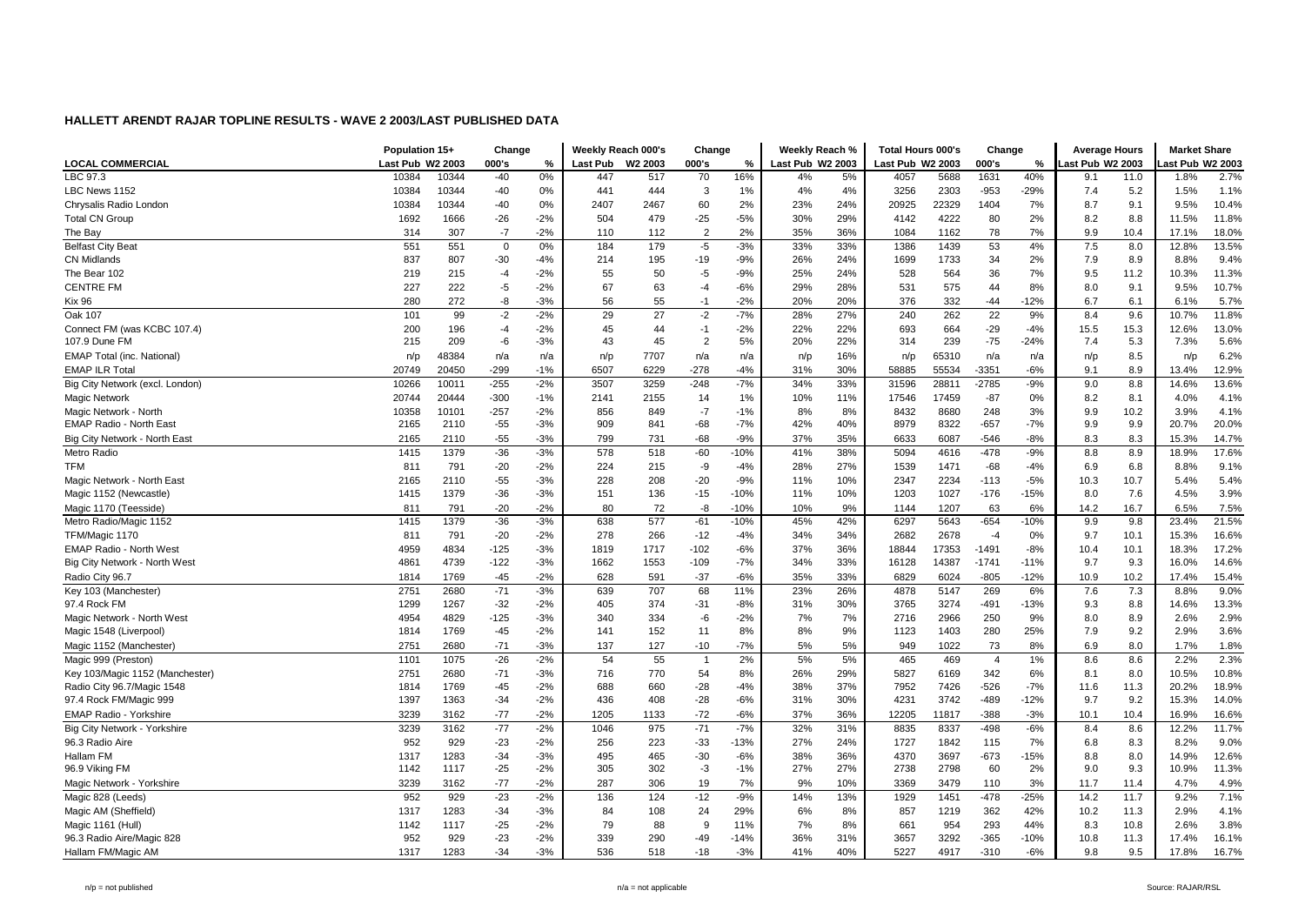|                                                | Population 15+ |                                    | Change         |                | Weekly Reach 000's |            | Change         |               | Weekly Reach %   |            | <b>Total Hours 000's</b> |              | Change         |               | <b>Average Hours</b> |              | <b>Market Share</b> |               |
|------------------------------------------------|----------------|------------------------------------|----------------|----------------|--------------------|------------|----------------|---------------|------------------|------------|--------------------------|--------------|----------------|---------------|----------------------|--------------|---------------------|---------------|
| <b>LOCAL COMMERCIAL</b>                        |                | Last Pub W2 2003<br>10384<br>10344 |                | %              | Last Pub           | W2 2003    | 000's          | %             | Last Pub W2 2003 |            | Last Pub W2 2003         |              | 000's          | %             | ast Pub W2 2003      |              | ast Pub W2 2003     |               |
| LBC 97.3                                       |                |                                    | $-40$          | 0%             | 447                | 517        | 70             | 16%           | 4%               | 5%         | 4057                     | 5688         | 1631           | 40%           | 9.1                  | 11.0         | 1.8%                | 2.7%          |
| LBC News 1152                                  | 10384          | 10344                              | $-40$          | 0%             | 441                | 444        | 3              | 1%            | 4%               | 4%         | 3256                     | 2303         | $-953$         | $-29%$        | 7.4                  | 5.2          | 1.5%                | 1.1%          |
| Chrysalis Radio London                         | 10384          | 10344                              | $-40$          | 0%             | 2407               | 2467       | 60             | 2%            | 23%              | 24%        | 20925                    | 22329        | 1404           | 7%            | 8.7                  | 9.1          | 9.5%                | 10.4%         |
| <b>Total CN Group</b>                          | 1692           | 1666                               | $-26$          | $-2%$          | 504                | 479        | $-25$          | $-5%$         | 30%              | 29%        | 4142                     | 4222         | 80             | 2%            | 8.2                  | 8.8          | 11.5%               | 11.8%         |
| The Bav                                        | 314            | 307                                | $-7$           | $-2%$          | 110                | 112        | $\overline{2}$ | 2%            | 35%              | 36%        | 1084                     | 1162         | 78             | 7%            | 9.9                  | 10.4         | 17.1%               | 18.0%         |
| <b>Belfast City Beat</b>                       | 551            | 551                                | $\mathbf 0$    | 0%             | 184                | 179        | $-5$           | $-3%$         | 33%              | 33%        | 1386                     | 1439         | 53             | 4%            | 7.5                  | 8.0          | 12.8%               | 13.5%         |
| <b>CN Midlands</b>                             | 837            | 807                                | $-30$          | $-4%$          | 214                | 195        | $-19$          | $-9%$         | 26%              | 24%        | 1699                     | 1733         | 34             | 2%            | 7.9                  | 8.9          | 8.8%                | 9.4%          |
| The Bear 102                                   | 219            | 215                                | -4             | $-2%$          | 55                 | 50         | $-5$           | $-9%$         | 25%              | 24%        | 528                      | 564          | 36             | 7%            | 9.5                  | 11.2         | 10.3%               | 11.3%         |
| <b>CENTRE FM</b>                               | 227            | 222                                | -5             | $-2%$          | 67                 | 63         | $-4$           | $-6%$         | 29%              | 28%        | 531                      | 575          | 44             | 8%            | 8.0                  | 9.1          | 9.5%                | 10.7%         |
| <b>Kix 96</b>                                  | 280            | 272                                | -8             | $-3%$          | 56                 | 55         | $-1$           | $-2%$         | 20%              | 20%        | 376                      | 332          | $-44$          | $-12%$        | 6.7                  | 6.1          | 6.1%                | 5.7%          |
| Oak 107                                        | 101            | 99                                 | $-2$           | $-2%$          | 29                 | 27         | $-2$           | $-7%$         | 28%              | 27%        | 240                      | 262          | 22             | 9%            | 8.4                  | 9.6          | 10.7%               | 11.8%         |
| Connect FM (was KCBC 107.4)                    | 200            | 196                                | -4             | $-2%$          | 45                 | 44         | $-1$           | $-2%$         | 22%              | 22%        | 693                      | 664          | $-29$          | $-4%$         | 15.5                 | 15.3         | 12.6%               | 13.0%         |
| 107.9 Dune FM                                  | 215            | 209                                | -6             | $-3%$          | 43                 | 45         | $\overline{2}$ | 5%            | 20%              | 22%        | 314                      | 239          | $-75$          | $-24%$        | 7.4                  | 5.3          | 7.3%                | 5.6%          |
| EMAP Total (inc. National)                     | n/p            | 48384                              | n/a            | n/a            | n/p                | 7707       | n/a            | n/a           | n/p              | 16%        | n/p                      | 65310        | n/a            | n/a           | n/p                  | 8.5          | n/p                 | 6.2%          |
| <b>EMAP ILR Total</b>                          | 20749          | 20450                              | $-299$         | $-1%$          | 6507               | 6229       | $-278$         | $-4%$         | 31%              | 30%        | 58885                    | 55534        | $-3351$        | $-6%$         | 9.1                  | 8.9          | 13.4%               | 12.9%         |
| Big City Network (excl. London)                | 10266          | 10011                              | $-255$         | $-2%$          | 3507               | 3259       | $-248$         | $-7%$         | 34%              | 33%        | 31596                    | 28811        | -2785          | $-9%$         | 9.0                  | 8.8          | 14.6%               | 13.6%         |
| <b>Magic Network</b>                           | 20744          | 20444                              | $-300$         | $-1%$          | 2141               | 2155       | 14             | 1%            | 10%              | 11%        | 17546                    | 17459        | $-87$          | 0%            | 8.2                  | 8.1          | 4.0%                | 4.1%          |
| Magic Network - North                          | 10358          | 10101                              | $-257$         | $-2%$          | 856                | 849        | $-7$           | $-1%$         | 8%               | 8%         | 8432                     | 8680         | 248            | 3%            | 9.9                  | 10.2         | 3.9%                | 4.1%          |
| <b>EMAP Radio - North East</b>                 | 2165           | 2110                               | $-55$          | $-3%$          | 909                | 841        | $-68$          | $-7%$         | 42%              | 40%        | 8979                     | 8322         | $-657$         | $-7%$         | 9.9                  | 9.9          | 20.7%               | 20.0%         |
| Big City Network - North East                  | 2165           | 2110                               | $-55$          | $-3%$          | 799                | 731        | $-68$          | $-9%$         | 37%              | 35%        | 6633                     | 6087         | $-546$         | $-8%$         | 8.3                  | 8.3          | 15.3%               | 14.7%         |
| Metro Radio                                    | 1415           | 1379                               | $-36$          | $-3%$          | 578                | 518        | $-60$          | $-10%$        | 41%              | 38%        | 5094                     | 4616         | $-478$         | $-9%$         | 8.8                  | 8.9          | 18.9%               | 17.6%         |
| <b>TFM</b>                                     | 811            | 791                                | $-20$          | $-2%$          | 224                | 215        | -9             | $-4%$         | 28%              | 27%        | 1539                     | 1471         | $-68$          | $-4%$         | 6.9                  | 6.8          | 8.8%                | 9.1%          |
| Magic Network - North East                     | 2165           | 2110                               | $-55$          | $-3%$          | 228                | 208        | $-20$          | $-9%$         | 11%              | 10%        | 2347                     | 2234         | $-113$         | $-5%$         | 10.3                 | 10.7         | 5.4%                | 5.4%          |
| Magic 1152 (Newcastle)                         | 1415           | 1379                               | $-36$          | $-3%$          | 151                | 136        | $-15$          | $-10%$        | 11%              | 10%        | 1203                     | 1027         | $-176$         | $-15%$        | 8.0                  | 7.6          | 4.5%                | 3.9%          |
| Magic 1170 (Teesside)                          | 811            | 791                                | $-20$          | $-2%$          | 80                 | 72         | -8             | $-10%$        | 10%              | 9%         | 1144                     | 1207         | 63             | 6%            | 14.2                 | 16.7         | 6.5%                | 7.5%          |
| Metro Radio/Magic 1152                         | 1415           | 1379                               | $-36$          | $-3%$          | 638                | 577        | $-61$          | $-10%$        | 45%              | 42%        | 6297                     | 5643         | $-654$         | $-10%$        | 9.9                  | 9.8          | 23.4%               | 21.5%         |
| TFM/Magic 1170                                 | 811            | 791                                | $-20$          | $-2%$          | 278                | 266        | $-12$          | $-4%$         | 34%              | 34%        | 2682                     | 2678         | $-4$           | 0%            | 9.7                  | 10.1         | 15.3%               | 16.6%         |
| <b>EMAP Radio - North West</b>                 | 4959           | 4834                               | $-125$         | $-3%$          | 1819               | 1717       | $-102$         | $-6%$         | 37%              | 36%        | 18844                    | 17353        | $-1491$        | $-8%$         | 10.4                 | 10.1         | 18.3%               | 17.2%         |
| Big City Network - North West                  | 4861           | 4739                               | $-122$         | $-3%$          | 1662               | 1553       | $-109$         | $-7%$         | 34%              | 33%        | 16128                    | 14387        | $-1741$        | $-11%$        | 9.7                  | 9.3          | 16.0%               | 14.6%         |
| Radio City 96.7                                | 1814           | 1769                               | $-45$          | $-2%$          | 628                | 591        | $-37$          | $-6%$         | 35%              | 33%        | 6829                     | 6024         | $-805$         | $-12%$        | 10.9                 | 10.2         | 17.4%               | 15.4%         |
| Key 103 (Manchester)                           | 2751           | 2680                               | $-71$          | $-3%$          | 639                | 707        | 68             | 11%           | 23%              | 26%        | 4878                     | 5147         | 269            | 6%            | 7.6                  | 7.3          | 8.8%                | 9.0%          |
| 97.4 Rock FM                                   | 1299           | 1267                               | $-32$          | $-2%$          | 405                | 374        | $-31$          | $-8%$         | 31%              | 30%        | 3765                     | 3274         | $-491$         | $-13%$        | 9.3                  | 8.8          | 14.6%               | 13.3%         |
| Magic Network - North West                     | 4954           | 4829                               | $-125$         | $-3%$          | 340                | 334        | $-6$           | $-2%$         | 7%               | 7%         | 2716                     | 2966         | 250            | 9%            | 8.0                  | 8.9          | 2.6%                | 2.9%          |
| Magic 1548 (Liverpool)                         | 1814           | 1769                               | $-45$          | $-2%$          | 141                | 152        | 11             | 8%            | 8%               | 9%         | 1123                     | 1403         | 280            | 25%           | 7.9                  | 9.2          | 2.9%                | 3.6%          |
| Magic 1152 (Manchester)                        | 2751           | 2680                               | $-71$          | $-3%$          | 137                | 127        | $-10$          | $-7%$         | 5%               | 5%         | 949                      | 1022         | 73             | 8%            | 6.9                  | 8.0          | 1.7%                | 1.8%          |
| Magic 999 (Preston)                            | 1101           | 1075                               | $-26$          | $-2%$          | 54                 | 55         | $\overline{1}$ | 2%            | 5%               | 5%         | 465                      | 469          | $\overline{4}$ | 1%            | 8.6                  | 8.6          | 2.2%                | 2.3%          |
| Key 103/Magic 1152 (Manchester)                | 2751           | 2680                               | $-71$          | $-3%$          | 716                | 770        | 54             | 8%            | 26%              | 29%        | 5827                     | 6169         | 342            | 6%            | 8.1                  | 8.0          | 10.5%               | 10.8%         |
| Radio City 96.7/Magic 1548                     | 1814           | 1769                               | $-45$          | $-2%$          | 688                | 660        | $-28$          | $-4%$         | 38%              | 37%        | 7952                     | 7426         | $-526$         | $-7%$         | 11.6                 | 11.3         | 20.2%               | 18.9%         |
| 97.4 Rock FM/Magic 999                         | 1397           | 1363                               | $-34$          | $-2%$          | 436                | 408        | $-28$          | $-6%$         | 31%              | 30%        | 4231                     | 3742         | -489           | $-12%$        | 9.7                  | 9.2          | 15.3%               | 14.0%         |
| <b>EMAP Radio - Yorkshire</b>                  | 3239           | 3162                               | $-77$          | $-2%$          | 1205               | 1133       | $-72$          | $-6%$         | 37%              | 36%        | 12205                    | 11817        | $-388$         | $-3%$         | 10.1                 | 10.4         | 16.9%               | 16.6%         |
| Big City Network - Yorkshire                   | 3239           | 3162                               | $-77$          | $-2%$          | 1046               | 975        | $-71$          | $-7%$         | 32%              | 31%        | 8835                     | 8337         | $-498$         | $-6%$         | 8.4                  | 8.6          | 12.2%               | 11.7%         |
| 96.3 Radio Aire                                | 952            | 929                                | $-23$          | $-2%$          | 256                | 223        | $-33$          | $-13%$        | 27%              | 24%        | 1727                     | 1842         | 115            | 7%            | 6.8                  | 8.3          | 8.2%                | 9.0%          |
| Hallam FM                                      | 1317           | 1283                               | $-34$          | $-3%$          | 495                | 465        | $-30$          | $-6%$         | 38%              | 36%        | 4370                     | 3697         | $-673$         | $-15%$        | 8.8                  | 8.0          | 14.9%               | 12.6%         |
| 96.9 Viking FM                                 | 1142           | 1117                               | $-25$          | $-2%$          | 305                | 302        | $-3$           | $-1%$         | 27%              | 27%        | 2738                     | 2798         | 60             | 2%            | 9.0                  | 9.3          | 10.9%               | 11.3%         |
|                                                |                |                                    | $-77$          | $-2%$          | 287                |            |                |               |                  |            | 3369                     |              |                |               |                      |              |                     |               |
| Magic Network - Yorkshire<br>Magic 828 (Leeds) | 3239<br>952    | 3162<br>929                        | $-23$          | $-2%$          | 136                | 306<br>124 | 19<br>$-12$    | 7%<br>$-9%$   | 9%               | 10%<br>13% | 1929                     | 3479         | 110<br>$-478$  | 3%<br>$-25%$  | 11.7<br>14.2         | 11.4<br>11.7 | 4.7%<br>9.2%        | 4.9%<br>7.1%  |
| Magic AM (Sheffield)                           | 1317           | 1283                               | $-34$          | $-3%$          | 84                 | 108        | 24             | 29%           | 14%<br>6%        | 8%         | 857                      | 1451<br>1219 | 362            | 42%           | 10.2                 | 11.3         | 2.9%                | 4.1%          |
|                                                |                |                                    |                |                |                    |            |                |               |                  |            |                          |              |                |               |                      |              |                     |               |
| Magic 1161 (Hull)                              | 1142<br>952    | 1117<br>929                        | $-25$<br>$-23$ | $-2%$<br>$-2%$ | 79<br>339          | 88<br>290  | -9<br>$-49$    | 11%<br>$-14%$ | 7%<br>36%        | 8%<br>31%  | 661<br>3657              | 954<br>3292  | 293<br>$-365$  | 44%<br>$-10%$ | 8.3<br>10.8          | 10.8<br>11.3 | 2.6%<br>17.4%       | 3.8%<br>16.1% |
| 96.3 Radio Aire/Magic 828                      |                |                                    |                |                |                    |            |                |               |                  |            |                          |              |                |               |                      |              |                     |               |
| Hallam FM/Magic AM                             | 1317           | 1283                               | $-34$          | $-3%$          | 536                | 518        | $-18$          | $-3%$         | 41%              | 40%        | 5227                     | 4917         | $-310$         | $-6%$         | 9.8                  | 9.5          | 17.8%               | 16.7%         |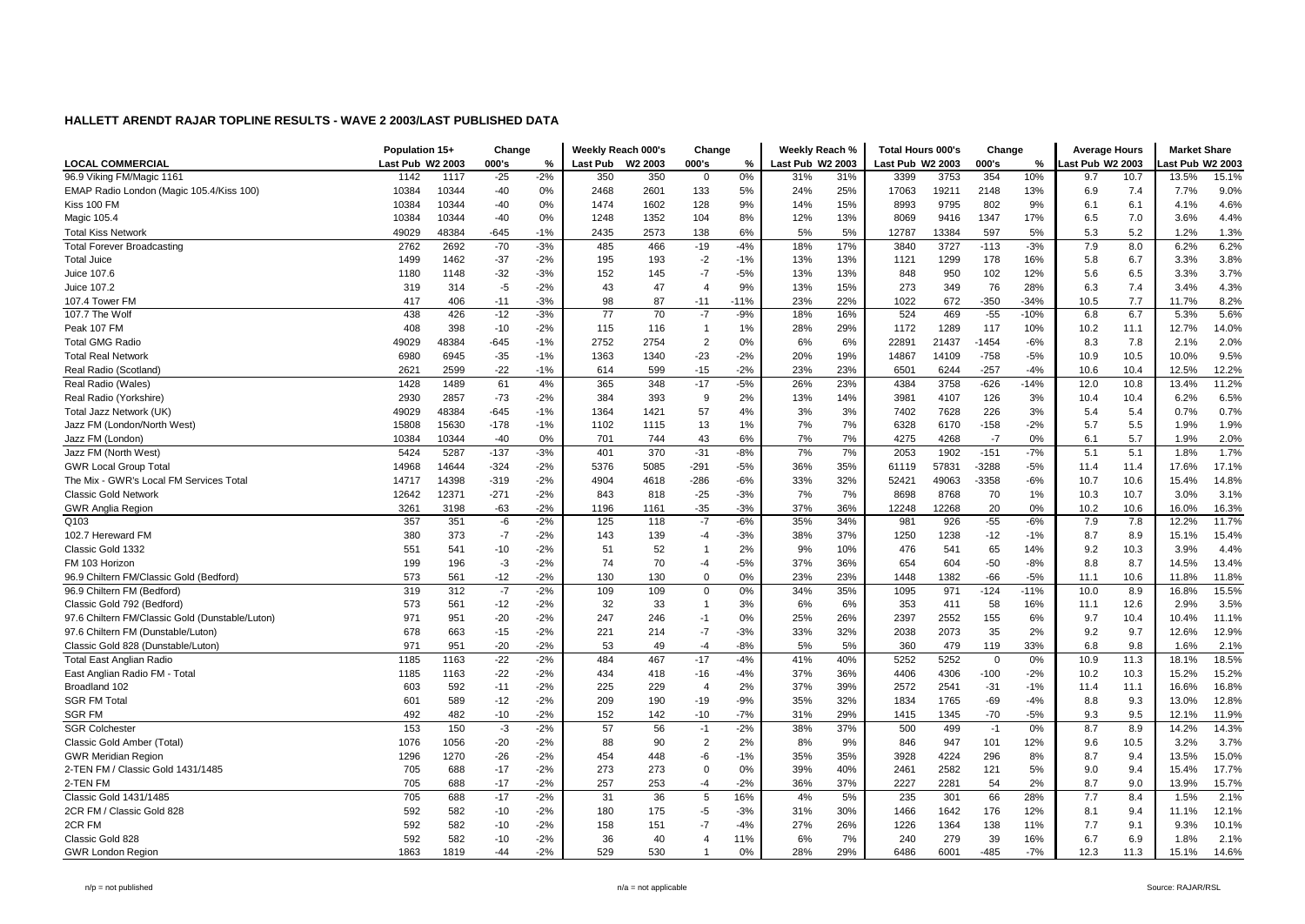|                                                 |                  | Population 15+ |        | Change |                 | Weekly Reach 000's | Change                  |        | Weekly Reach %   |     | <b>Total Hours 000's</b> |       | Change   |        | <b>Average Hours</b> |      | <b>Market Share</b> |       |
|-------------------------------------------------|------------------|----------------|--------|--------|-----------------|--------------------|-------------------------|--------|------------------|-----|--------------------------|-------|----------|--------|----------------------|------|---------------------|-------|
| <b>LOCAL COMMERCIAL</b>                         | Last Pub W2 2003 |                | 000's  | %      | <b>Last Pub</b> | W2 2003            | 000's                   | %      | Last Pub W2 2003 |     | Last Pub W2 2003         |       | 000's    | %      | ast Pub W2 2003      |      | ast Pub W2 2003     |       |
| 96.9 Viking FM/Magic 1161                       | 1142             | 1117           | $-25$  | $-2%$  | 350             | 350                | $\mathbf 0$             | 0%     | 31%              | 31% | 3399                     | 3753  | 354      | 10%    | 9.7                  | 10.7 | 13.5%               | 15.1% |
| EMAP Radio London (Magic 105.4/Kiss 100)        | 10384            | 10344          | $-40$  | 0%     | 2468            | 2601               | 133                     | 5%     | 24%              | 25% | 17063                    | 19211 | 2148     | 13%    | 6.9                  | 7.4  | 7.7%                | 9.0%  |
| Kiss 100 FM                                     | 10384            | 10344          | $-40$  | 0%     | 1474            | 1602               | 128                     | 9%     | 14%              | 15% | 8993                     | 9795  | 802      | 9%     | 6.1                  | 6.1  | 4.1%                | 4.6%  |
| Magic 105.4                                     | 10384            | 10344          | $-40$  | 0%     | 1248            | 1352               | 104                     | 8%     | 12%              | 13% | 8069                     | 9416  | 1347     | 17%    | 6.5                  | 7.0  | 3.6%                | 4.4%  |
| <b>Total Kiss Network</b>                       | 49029            | 48384          | -645   | $-1%$  | 2435            | 2573               | 138                     | 6%     | 5%               | 5%  | 12787                    | 13384 | 597      | 5%     | 5.3                  | 5.2  | 1.2%                | 1.3%  |
| <b>Total Forever Broadcasting</b>               | 2762             | 2692           | $-70$  | $-3%$  | 485             | 466                | $-19$                   | $-4%$  | 18%              | 17% | 3840                     | 3727  | $-113$   | $-3%$  | 7.9                  | 8.0  | 6.2%                | 6.2%  |
| <b>Total Juice</b>                              | 1499             | 1462           | $-37$  | $-2%$  | 195             | 193                | $-2$                    | $-1%$  | 13%              | 13% | 1121                     | 1299  | 178      | 16%    | 5.8                  | 6.7  | 3.3%                | 3.8%  |
| Juice 107.6                                     | 1180             | 1148           | $-32$  | $-3%$  | 152             | 145                | $-7$                    | $-5%$  | 13%              | 13% | 848                      | 950   | 102      | 12%    | 5.6                  | 6.5  | 3.3%                | 3.7%  |
| Juice 107.2                                     | 319              | 314            | -5     | $-2%$  | 43              | 47                 | $\overline{4}$          | 9%     | 13%              | 15% | 273                      | 349   | 76       | 28%    | 6.3                  | 7.4  | 3.4%                | 4.3%  |
| 107.4 Tower FM                                  | 417              | 406            | $-11$  | $-3%$  | 98              | 87                 | $-11$                   | $-11%$ | 23%              | 22% | 1022                     | 672   | $-350$   | $-34%$ | 10.5                 | 7.7  | 11.7%               | 8.2%  |
| 107.7 The Wolf                                  | 438              | 426            | $-12$  | $-3%$  | $\overline{77}$ | 70                 | $-7$                    | $-9%$  | 18%              | 16% | 524                      | 469   | $-55$    | $-10%$ | 6.8                  | 6.7  | 5.3%                | 5.6%  |
| Peak 107 FM                                     | 408              | 398            | $-10$  | $-2%$  | 115             | 116                | $\overline{\mathbf{1}}$ | 1%     | 28%              | 29% | 1172                     | 1289  | 117      | 10%    | 10.2                 | 11.1 | 12.7%               | 14.0% |
| <b>Total GMG Radio</b>                          | 49029            | 48384          | -645   | $-1%$  | 2752            | 2754               | $\overline{2}$          | 0%     | 6%               | 6%  | 22891                    | 21437 | $-1454$  | $-6%$  | 8.3                  | 7.8  | 2.1%                | 2.0%  |
| <b>Total Real Network</b>                       | 6980             | 6945           | $-35$  | $-1%$  | 1363            | 1340               | $-23$                   | $-2%$  | 20%              | 19% | 14867                    | 14109 | $-758$   | $-5%$  | 10.9                 | 10.5 | 10.0%               | 9.5%  |
| Real Radio (Scotland)                           | 2621             | 2599           | $-22$  | $-1%$  | 614             | 599                | $-15$                   | $-2%$  | 23%              | 23% | 6501                     | 6244  | $-257$   | $-4%$  | 10.6                 | 10.4 | 12.5%               | 12.2% |
| Real Radio (Wales)                              | 1428             | 1489           | 61     | 4%     | 365             | 348                | $-17$                   | $-5%$  | 26%              | 23% | 4384                     | 3758  | $-626$   | $-14%$ | 12.0                 | 10.8 | 13.4%               | 11.2% |
| Real Radio (Yorkshire)                          | 2930             | 2857           | $-73$  | $-2%$  | 384             | 393                | 9                       | 2%     | 13%              | 14% | 3981                     | 4107  | 126      | 3%     | 10.4                 | 10.4 | 6.2%                | 6.5%  |
| Total Jazz Network (UK                          | 49029            | 48384          | $-645$ | $-1%$  | 1364            | 1421               | 57                      | 4%     | 3%               | 3%  | 7402                     | 7628  | 226      | 3%     | 5.4                  | 5.4  | 0.7%                | 0.7%  |
| Jazz FM (London/North West)                     | 15808            | 15630          | $-178$ | $-1%$  | 1102            | 1115               | 13                      | 1%     | 7%               | 7%  | 6328                     | 6170  | $-158$   | $-2%$  | 5.7                  | 5.5  | 1.9%                | 1.9%  |
| Jazz FM (London)                                | 10384            | 10344          | $-40$  | 0%     | 701             | 744                | 43                      | 6%     | 7%               | 7%  | 4275                     | 4268  | $-7$     | 0%     | 6.1                  | 5.7  | 1.9%                | 2.0%  |
| Jazz FM (North West)                            | 5424             | 5287           | $-137$ | $-3%$  | 401             | 370                | $-31$                   | $-8%$  | 7%               | 7%  | 2053                     | 1902  | $-151$   | $-7%$  | 5.1                  | 5.1  | 1.8%                | 1.7%  |
| <b>GWR Local Group Total</b>                    | 14968            | 14644          | -324   | $-2%$  | 5376            | 5085               | $-291$                  | $-5%$  | 36%              | 35% | 61119                    | 57831 | $-3288$  | $-5%$  | 11.4                 | 11.4 | 17.6%               | 17.1% |
| The Mix - GWR's Local FM Services Total         | 14717            | 14398          | $-319$ | $-2%$  | 4904            | 4618               | $-286$                  | $-6%$  | 33%              | 32% | 52421                    | 49063 | $-3358$  | $-6%$  | 10.7                 | 10.6 | 15.4%               | 14.8% |
| <b>Classic Gold Network</b>                     | 12642            | 12371          | $-271$ | $-2%$  | 843             | 818                | $-25$                   | $-3%$  | 7%               | 7%  | 8698                     | 8768  | 70       | 1%     | 10.3                 | 10.7 | 3.0%                | 3.1%  |
| <b>GWR Anglia Region</b>                        | 3261             | 3198           | $-63$  | $-2%$  | 1196            | 1161               | $-35$                   | $-3%$  | 37%              | 36% | 12248                    | 12268 | 20       | 0%     | 10.2                 | 10.6 | 16.0%               | 16.3% |
| Q103                                            | 357              | 351            | -6     | $-2%$  | 125             | 118                | $-7$                    | $-6%$  | 35%              | 34% | 981                      | 926   | $-55$    | $-6%$  | 7.9                  | 7.8  | 12.2%               | 11.7% |
| 102.7 Hereward FM                               | 380              | 373            | $-7$   | $-2%$  | 143             | 139                | $-4$                    | $-3%$  | 38%              | 37% | 1250                     | 1238  | -12      | $-1%$  | 8.7                  | 8.9  | 15.1%               | 15.4% |
| Classic Gold 1332                               | 551              | 541            | $-10$  | $-2%$  | 51              | 52                 | $\overline{\mathbf{1}}$ | 2%     | 9%               | 10% | 476                      | 541   | 65       | 14%    | 9.2                  | 10.3 | 3.9%                | 4.4%  |
| FM 103 Horizon                                  | 199              | 196            | $-3$   | $-2%$  | 74              | 70                 | $-4$                    | $-5%$  | 37%              | 36% | 654                      | 604   | $-50$    | $-8%$  | 8.8                  | 8.7  | 14.5%               | 13.4% |
| 96.9 Chiltern FM/Classic Gold (Bedford)         | 573              | 561            | $-12$  | $-2%$  | 130             | 130                | $\mathbf 0$             | 0%     | 23%              | 23% | 1448                     | 1382  | $-66$    | $-5%$  | 11.1                 | 10.6 | 11.8%               | 11.8% |
| 96.9 Chiltern FM (Bedford)                      | 319              | 312            | $-7$   | $-2%$  | 109             | 109                | $\mathbf 0$             | 0%     | 34%              | 35% | 1095                     | 971   | $-124$   | $-11%$ | 10.0                 | 8.9  | 16.8%               | 15.5% |
| Classic Gold 792 (Bedford)                      | 573              | 561            | $-12$  | $-2%$  | 32              | 33                 | $\overline{\mathbf{1}}$ | 3%     | 6%               | 6%  | 353                      | 411   | 58       | 16%    | 11.1                 | 12.6 | 2.9%                | 3.5%  |
| 97.6 Chiltern FM/Classic Gold (Dunstable/Luton) | 971              | 951            | $-20$  | $-2%$  | 247             | 246                | $-1$                    | 0%     | 25%              | 26% | 2397                     | 2552  | 155      | 6%     | 9.7                  | 10.4 | 10.4%               | 11.1% |
| 97.6 Chiltern FM (Dunstable/Luton)              | 678              | 663            | $-15$  | $-2%$  | 221             | 214                | $-7$                    | $-3%$  | 33%              | 32% | 2038                     | 2073  | 35       | 2%     | 9.2                  | 9.7  | 12.6%               | 12.9% |
| Classic Gold 828 (Dunstable/Luton)              | 971              | 951            | $-20$  | $-2%$  | 53              | 49                 | $-4$                    | $-8%$  | 5%               | 5%  | 360                      | 479   | 119      | 33%    | 6.8                  | 9.8  | 1.6%                | 2.1%  |
| <b>Total East Anglian Radio</b>                 | 1185             | 1163           | $-22$  | $-2%$  | 484             | 467                | $-17$                   | $-4%$  | 41%              | 40% | 5252                     | 5252  | $\Omega$ | 0%     | 10.9                 | 11.3 | 18.1%               | 18.5% |
| East Anglian Radio FM - Total                   | 1185             | 1163           | $-22$  | $-2%$  | 434             | 418                | $-16$                   | $-4%$  | 37%              | 36% | 4406                     | 4306  | $-100$   | $-2%$  | 10.2                 | 10.3 | 15.2%               | 15.2% |
| Broadland 102                                   | 603              | 592            | $-11$  | $-2%$  | 225             | 229                | $\overline{4}$          | 2%     | 37%              | 39% | 2572                     | 2541  | $-31$    | $-1%$  | 11.4                 | 11.1 | 16.6%               | 16.8% |
| <b>SGR FM Total</b>                             | 601              | 589            | $-12$  | $-2%$  | 209             | 190                | $-19$                   | $-9%$  | 35%              | 32% | 1834                     | 1765  | $-69$    | $-4%$  | 8.8                  | 9.3  | 13.0%               | 12.8% |
| <b>SGR FM</b>                                   | 492              | 482            | $-10$  | $-2%$  | 152             | 142                | $-10$                   | $-7%$  | 31%              | 29% | 1415                     | 1345  | $-70$    | $-5%$  | 9.3                  | 9.5  | 12.1%               | 11.9% |
| <b>SGR Colchester</b>                           | 153              | 150            | $-3$   | $-2%$  | 57              | 56                 | $-1$                    | $-2%$  | 38%              | 37% | 500                      | 499   | $-1$     | 0%     | 8.7                  | 8.9  | 14.2%               | 14.3% |
| Classic Gold Amber (Total)                      | 1076             | 1056           | $-20$  | $-2%$  | 88              | 90                 | $\overline{2}$          | 2%     | 8%               | 9%  | 846                      | 947   | 101      | 12%    | 9.6                  | 10.5 | 3.2%                | 3.7%  |
| <b>GWR Meridian Region</b>                      | 1296             | 1270           | $-26$  | $-2%$  | 454             | 448                | -6                      | $-1%$  | 35%              | 35% | 3928                     | 4224  | 296      | 8%     | 8.7                  | 9.4  | 13.5%               | 15.0% |
| 2-TEN FM / Classic Gold 1431/1485               | 705              | 688            | $-17$  | $-2%$  | 273             | 273                | $\mathbf 0$             | 0%     | 39%              | 40% | 2461                     | 2582  | 121      | 5%     | 9.0                  | 9.4  | 15.4%               | 17.7% |
| 2-TEN FM                                        | 705              | 688            | $-17$  | $-2%$  | 257             | 253                | $-4$                    | $-2%$  | 36%              | 37% | 2227                     | 2281  | 54       | 2%     | 8.7                  | 9.0  | 13.9%               | 15.7% |
| Classic Gold 1431/1485                          | 705              | 688            | $-17$  | $-2%$  | 31              | 36                 | 5                       | 16%    | 4%               | 5%  | 235                      | 301   | 66       | 28%    | 7.7                  | 8.4  | 1.5%                | 2.1%  |
| 2CR FM / Classic Gold 828                       | 592              | 582            | $-10$  | $-2%$  | 180             | 175                | $-5$                    | $-3%$  | 31%              | 30% | 1466                     | 1642  | 176      | 12%    | 8.1                  | 9.4  | 11.1%               | 12.1% |
| 2CR FM                                          | 592              | 582            | $-10$  | $-2%$  | 158             | 151                | $-7$                    | $-4%$  | 27%              | 26% | 1226                     | 1364  | 138      | 11%    | 7.7                  | 9.1  | 9.3%                | 10.1% |
| Classic Gold 828                                | 592              | 582            | $-10$  | $-2%$  | 36              | 40                 | 4                       | 11%    | 6%               | 7%  | 240                      | 279   | 39       | 16%    | 6.7                  | 6.9  | 1.8%                | 2.1%  |
| <b>GWR London Region</b>                        | 1863             | 1819           | $-44$  | $-2%$  | 529             | 530                |                         | 0%     | 28%              | 29% | 6486                     | 6001  | $-485$   | $-7%$  | 12.3                 | 11.3 | 15.1%               | 14.6% |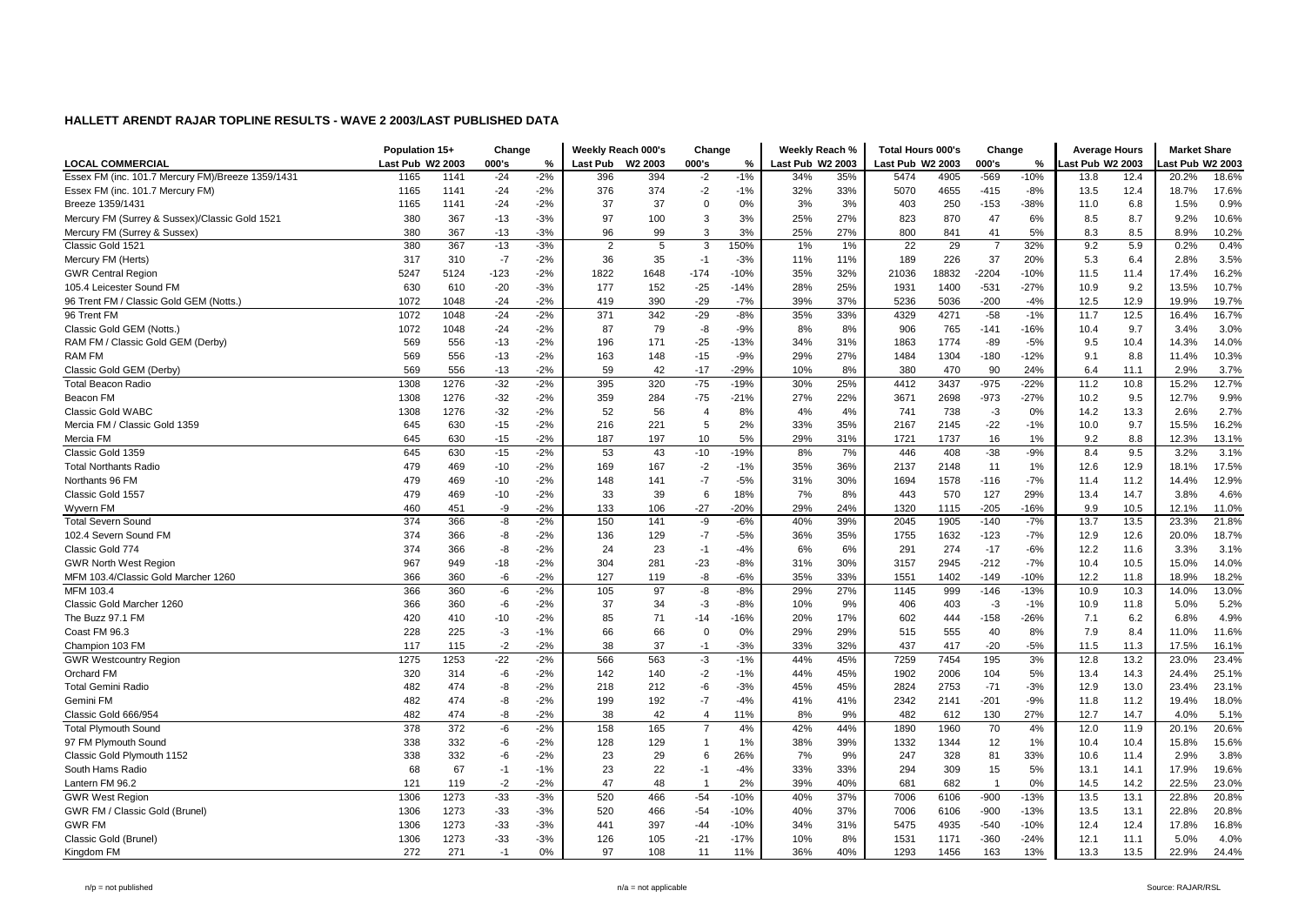|                                                   | Population 15+   |      | Change |       | Weekly Reach 000's |         | Change         |        | Weekly Reach %   |     | <b>Total Hours 000's</b> |       | Change         |        | <b>Average Hours</b> |      | <b>Market Share</b> |       |
|---------------------------------------------------|------------------|------|--------|-------|--------------------|---------|----------------|--------|------------------|-----|--------------------------|-------|----------------|--------|----------------------|------|---------------------|-------|
| <b>LOCAL COMMERCIAL</b>                           | Last Pub W2 2003 |      | 000's  | %     | <b>Last Pub</b>    | W2 2003 | 000's          | %      | Last Pub W2 2003 |     | Last Pub W2 2003         |       | 000's          | %      | ast Pub W2 2003      |      | ast Pub W2 2003     |       |
| Essex FM (inc. 101.7 Mercury FM)/Breeze 1359/1431 | 1165             | 1141 | $-24$  | $-2%$ | 396                | 394     | $-2$           | $-1%$  | 34%              | 35% | 5474                     | 4905  | $-569$         | $-10%$ | 13.8                 | 12.4 | 20.2%               | 18.6% |
| Essex FM (inc. 101.7 Mercury FM)                  | 1165             | 1141 | $-24$  | $-2%$ | 376                | 374     | $-2$           | $-1%$  | 32%              | 33% | 5070                     | 4655  | $-415$         | $-8%$  | 13.5                 | 12.4 | 18.7%               | 17.6% |
| Breeze 1359/1431                                  | 1165             | 1141 | $-24$  | $-2%$ | 37                 | 37      | $\mathbf 0$    | 0%     | 3%               | 3%  | 403                      | 250   | $-153$         | $-38%$ | 11.0                 | 6.8  | 1.5%                | 0.9%  |
| Mercury FM (Surrey & Sussex)/Classic Gold 1521    | 380              | 367  | $-13$  | $-3%$ | 97                 | 100     | 3              | 3%     | 25%              | 27% | 823                      | 870   | 47             | 6%     | 8.5                  | 8.7  | 9.2%                | 10.6% |
| Mercury FM (Surrey & Sussex)                      | 380              | 367  | $-13$  | $-3%$ | 96                 | 99      | 3              | 3%     | 25%              | 27% | 800                      | 841   | 41             | 5%     | 8.3                  | 8.5  | 8.9%                | 10.2% |
| Classic Gold 1521                                 | 380              | 367  | $-13$  | $-3%$ | $\overline{2}$     | .5      | $\overline{3}$ | 150%   | 1%               | 1%  | 22                       | 29    | $\overline{7}$ | 32%    | 9.2                  | 5.9  | 0.2%                | 0.4%  |
| Mercury FM (Herts)                                | 317              | 310  | $-7$   | $-2%$ | 36                 | 35      | $-1$           | $-3%$  | 11%              | 11% | 189                      | 226   | 37             | 20%    | 5.3                  | 6.4  | 2.8%                | 3.5%  |
| <b>GWR Central Region</b>                         | 5247             | 5124 | -123   | $-2%$ | 1822               | 1648    | $-174$         | $-10%$ | 35%              | 32% | 21036                    | 18832 | $-2204$        | $-10%$ | 11.5                 | 11.4 | 17.4%               | 16.2% |
| 105.4 Leicester Sound FM                          | 630              | 610  | $-20$  | $-3%$ | 177                | 152     | $-25$          | -14%   | 28%              | 25% | 1931                     | 1400  | $-531$         | $-27%$ | 10.9                 | 9.2  | 13.5%               | 10.7% |
| 96 Trent FM / Classic Gold GEM (Notts.)           | 1072             | 1048 | $-24$  | $-2%$ | 419                | 390     | $-29$          | $-7%$  | 39%              | 37% | 5236                     | 5036  | $-200$         | $-4%$  | 12.5                 | 12.9 | 19.9%               | 19.7% |
| 96 Trent FM                                       | 1072             | 1048 | $-24$  | $-2%$ | 371                | 342     | $-29$          | $-8%$  | 35%              | 33% | 4329                     | 4271  | $-58$          | $-1%$  | 11.7                 | 12.5 | 16.4%               | 16.7% |
| Classic Gold GEM (Notts.)                         | 1072             | 1048 | $-24$  | $-2%$ | 87                 | 79      | -8             | $-9%$  | 8%               | 8%  | 906                      | 765   | $-141$         | -16%   | 10.4                 | 9.7  | 3.4%                | 3.0%  |
| RAM FM / Classic Gold GEM (Derby)                 | 569              | 556  | $-13$  | $-2%$ | 196                | 171     | $-25$          | $-13%$ | 34%              | 31% | 1863                     | 1774  | $-89$          | $-5%$  | 9.5                  | 10.4 | 14.3%               | 14.0% |
| <b>RAM FM</b>                                     | 569              | 556  | $-13$  | $-2%$ | 163                | 148     | $-15$          | $-9%$  | 29%              | 27% | 1484                     | 1304  | $-180$         | $-12%$ | 9.1                  | 8.8  | 11.4%               | 10.3% |
| Classic Gold GEM (Derby)                          | 569              | 556  | $-13$  | $-2%$ | 59                 | 42      | $-17$          | $-29%$ | 10%              | 8%  | 380                      | 470   | 90             | 24%    | 6.4                  | 11.1 | 2.9%                | 3.7%  |
| <b>Total Beacon Radio</b>                         | 1308             | 1276 | $-32$  | $-2%$ | 395                | 320     | $-75$          | $-19%$ | 30%              | 25% | 4412                     | 3437  | $-975$         | $-22%$ | 11.2                 | 10.8 | 15.2%               | 12.7% |
| Beacon FM                                         | 1308             | 1276 | $-32$  | $-2%$ | 359                | 284     | $-75$          | $-21%$ | 27%              | 22% | 3671                     | 2698  | $-973$         | $-27%$ | 10.2                 | 9.5  | 12.7%               | 9.9%  |
| <b>Classic Gold WABC</b>                          | 1308             | 1276 | $-32$  | $-2%$ | 52                 | 56      | $\overline{4}$ | 8%     | 4%               | 4%  | 741                      | 738   | $-3$           | 0%     | 14.2                 | 13.3 | 2.6%                | 2.7%  |
| Mercia FM / Classic Gold 1359                     | 645              | 630  | $-15$  | $-2%$ | 216                | 221     | 5              | 2%     | 33%              | 35% | 2167                     | 2145  | $-22$          | $-1%$  | 10.0                 | 9.7  | 15.5%               | 16.2% |
| Mercia FM                                         | 645              | 630  | $-15$  | $-2%$ | 187                | 197     | 10             | 5%     | 29%              | 31% | 1721                     | 1737  | 16             | 1%     | 9.2                  | 8.8  | 12.3%               | 13.1% |
| Classic Gold 1359                                 | 645              | 630  | $-15$  | $-2%$ | 53                 | 43      | -10            | $-19%$ | 8%               | 7%  | 446                      | 408   | $-38$          | $-9%$  | 8.4                  | 9.5  | 3.2%                | 3.1%  |
| <b>Total Northants Radio</b>                      | 479              | 469  | $-10$  | $-2%$ | 169                | 167     | $-2$           | $-1%$  | 35%              | 36% | 2137                     | 2148  | 11             | 1%     | 12.6                 | 12.9 | 18.1%               | 17.5% |
| Northants 96 FM                                   | 479              | 469  | $-10$  | $-2%$ | 148                | 141     | $-7$           | $-5%$  | 31%              | 30% | 1694                     | 1578  | $-116$         | $-7%$  | 11.4                 | 11.2 | 14.4%               | 12.9% |
| Classic Gold 1557                                 | 479              | 469  | $-10$  | $-2%$ | 33                 | 39      | 6              | 18%    | 7%               | 8%  | 443                      | 570   | 127            | 29%    | 13.4                 | 14.7 | 3.8%                | 4.6%  |
| Wyvern FM                                         | 460              | 451  | -9     | $-2%$ | 133                | 106     | $-27$          | $-20%$ | 29%              | 24% | 1320                     | 1115  | $-205$         | -16%   | 9.9                  | 10.5 | 12.1%               | 11.0% |
| <b>Total Severn Sound</b>                         | 374              | 366  | -8     | $-2%$ | 150                | 141     | -9             | $-6%$  | 40%              | 39% | 2045                     | 1905  | $-140$         | $-7%$  | 13.7                 | 13.5 | 23.3%               | 21.8% |
| 102.4 Severn Sound FM                             | 374              | 366  | -8     | $-2%$ | 136                | 129     | $-7$           | $-5%$  | 36%              | 35% | 1755                     | 1632  | $-123$         | $-7%$  | 12.9                 | 12.6 | 20.0%               | 18.7% |
| Classic Gold 774                                  | 374              | 366  | -8     | $-2%$ | 24                 | 23      | $-1$           | $-4%$  | 6%               | 6%  | 291                      | 274   | $-17$          | $-6%$  | 12.2                 | 11.6 | 3.3%                | 3.1%  |
| <b>GWR North West Region</b>                      | 967              | 949  | $-18$  | $-2%$ | 304                | 281     | $-23$          | $-8%$  | 31%              | 30% | 3157                     | 2945  | $-212$         | $-7%$  | 10.4                 | 10.5 | 15.0%               | 14.0% |
| MFM 103.4/Classic Gold Marcher 1260               | 366              | 360  | -6     | $-2%$ | 127                | 119     | -8             | $-6%$  | 35%              | 33% | 1551                     | 1402  | $-149$         | $-10%$ | 12.2                 | 11.8 | 18.9%               | 18.2% |
| MFM 103.4                                         | 366              | 360  | -6     | $-2%$ | 105                | 97      | -8             | $-8%$  | 29%              | 27% | 1145                     | 999   | $-146$         | $-13%$ | 10.9                 | 10.3 | 14.0%               | 13.0% |
| Classic Gold Marcher 1260                         | 366              | 360  | -6     | $-2%$ | 37                 | 34      | $-3$           | $-8%$  | 10%              | 9%  | 406                      | 403   | $-3$           | $-1%$  | 10.9                 | 11.8 | 5.0%                | 5.2%  |
| The Buzz 97.1 FM                                  | 420              | 410  | $-10$  | $-2%$ | 85                 | 71      | $-14$          | -16%   | 20%              | 17% | 602                      | 444   | $-158$         | $-26%$ | 7.1                  | 6.2  | 6.8%                | 4.9%  |
| Coast FM 96.3                                     | 228              | 225  | $-3$   | $-1%$ | 66                 | 66      | $\mathbf 0$    | 0%     | 29%              | 29% | 515                      | 555   | 40             | 8%     | 7.9                  | 8.4  | 11.0%               | 11.6% |
| Champion 103 FM                                   | 117              | 115  | $-2$   | $-2%$ | 38                 | 37      | $-1$           | $-3%$  | 33%              | 32% | 437                      | 417   | $-20$          | $-5%$  | 11.5                 | 11.3 | 17.5%               | 16.1% |
| <b>GWR Westcountry Region</b>                     | 1275             | 1253 | $-22$  | $-2%$ | 566                | 563     | $-3$           | $-1%$  | 44%              | 45% | 7259                     | 7454  | 195            | 3%     | 12.8                 | 13.2 | 23.0%               | 23.4% |
| <b>Orchard FM</b>                                 | 320              | 314  | -6     | $-2%$ | 142                | 140     | $-2$           | $-1%$  | 44%              | 45% | 1902                     | 2006  | 104            | 5%     | 13.4                 | 14.3 | 24.4%               | 25.1% |
| <b>Total Gemini Radio</b>                         | 482              | 474  | -8     | $-2%$ | 218                | 212     | -6             | $-3%$  | 45%              | 45% | 2824                     | 2753  | $-71$          | $-3%$  | 12.9                 | 13.0 | 23.4%               | 23.1% |
| Gemini FM                                         | 482              | 474  | -8     | $-2%$ | 199                | 192     | $-7$           | $-4%$  | 41%              | 41% | 2342                     | 2141  | $-201$         | $-9%$  | 11.8                 | 11.2 | 19.4%               | 18.0% |
| Classic Gold 666/954                              | 482              | 474  | -8     | $-2%$ | 38                 | 42      | $\overline{4}$ | 11%    | 8%               | 9%  | 482                      | 612   | 130            | 27%    | 12.7                 | 14.7 | 4.0%                | 5.1%  |
| <b>Total Plymouth Sound</b>                       | 378              | 372  | -6     | $-2%$ | 158                | 165     | $\overline{7}$ | 4%     | 42%              | 44% | 1890                     | 1960  | 70             | 4%     | 12.0                 | 11.9 | 20.1%               | 20.6% |
| 97 FM Plymouth Sound                              | 338              | 332  | -6     | $-2%$ | 128                | 129     | $\overline{1}$ | 1%     | 38%              | 39% | 1332                     | 1344  | 12             | 1%     | 10.4                 | 10.4 | 15.8%               | 15.6% |
| Classic Gold Plymouth 1152                        | 338              | 332  | -6     | $-2%$ | 23                 | 29      | 6              | 26%    | 7%               | 9%  | 247                      | 328   | 81             | 33%    | 10.6                 | 11.4 | 2.9%                | 3.8%  |
| South Hams Radio                                  | 68               | 67   | $-1$   | $-1%$ | 23                 | 22      | $-1$           | $-4%$  | 33%              | 33% | 294                      | 309   | 15             | 5%     | 13.1                 | 14.1 | 17.9%               | 19.6% |
| Lantern FM 96.2                                   | 121              | 119  | $-2$   | $-2%$ | 47                 | 48      | $\overline{1}$ | 2%     | 39%              | 40% | 681                      | 682   | $\overline{1}$ | 0%     | 14.5                 | 14.2 | 22.5%               | 23.0% |
| <b>GWR West Region</b>                            | 1306             | 1273 | $-33$  | $-3%$ | 520                | 466     | $-54$          | $-10%$ | 40%              | 37% | 7006                     | 6106  | $-900$         | $-13%$ | 13.5                 | 13.1 | 22.8%               | 20.8% |
| GWR FM / Classic Gold (Brunel)                    | 1306             | 1273 | $-33$  | $-3%$ | 520                | 466     | $-54$          | $-10%$ | 40%              | 37% | 7006                     | 6106  | -900           | $-13%$ | 13.5                 | 13.1 | 22.8%               | 20.8% |
| <b>GWR FM</b>                                     | 1306             | 1273 | $-33$  | $-3%$ | 441                | 397     | $-44$          | -10%   | 34%              | 31% | 5475                     | 4935  | $-540$         | $-10%$ | 12.4                 | 12.4 | 17.8%               | 16.8% |
| Classic Gold (Brunel)                             | 1306             | 1273 | $-33$  | $-3%$ | 126                | 105     | $-21$          | $-17%$ | 10%              | 8%  | 1531                     | 1171  | $-360$         | $-24%$ | 12.1                 | 11.1 | 5.0%                | 4.0%  |
| Kingdom FM                                        | 272              | 271  | $-1$   | 0%    | 97                 | 108     | 11             | 11%    | 36%              | 40% | 1293                     | 1456  | 163            | 13%    | 13.3                 | 13.5 | 22.9%               | 24.4% |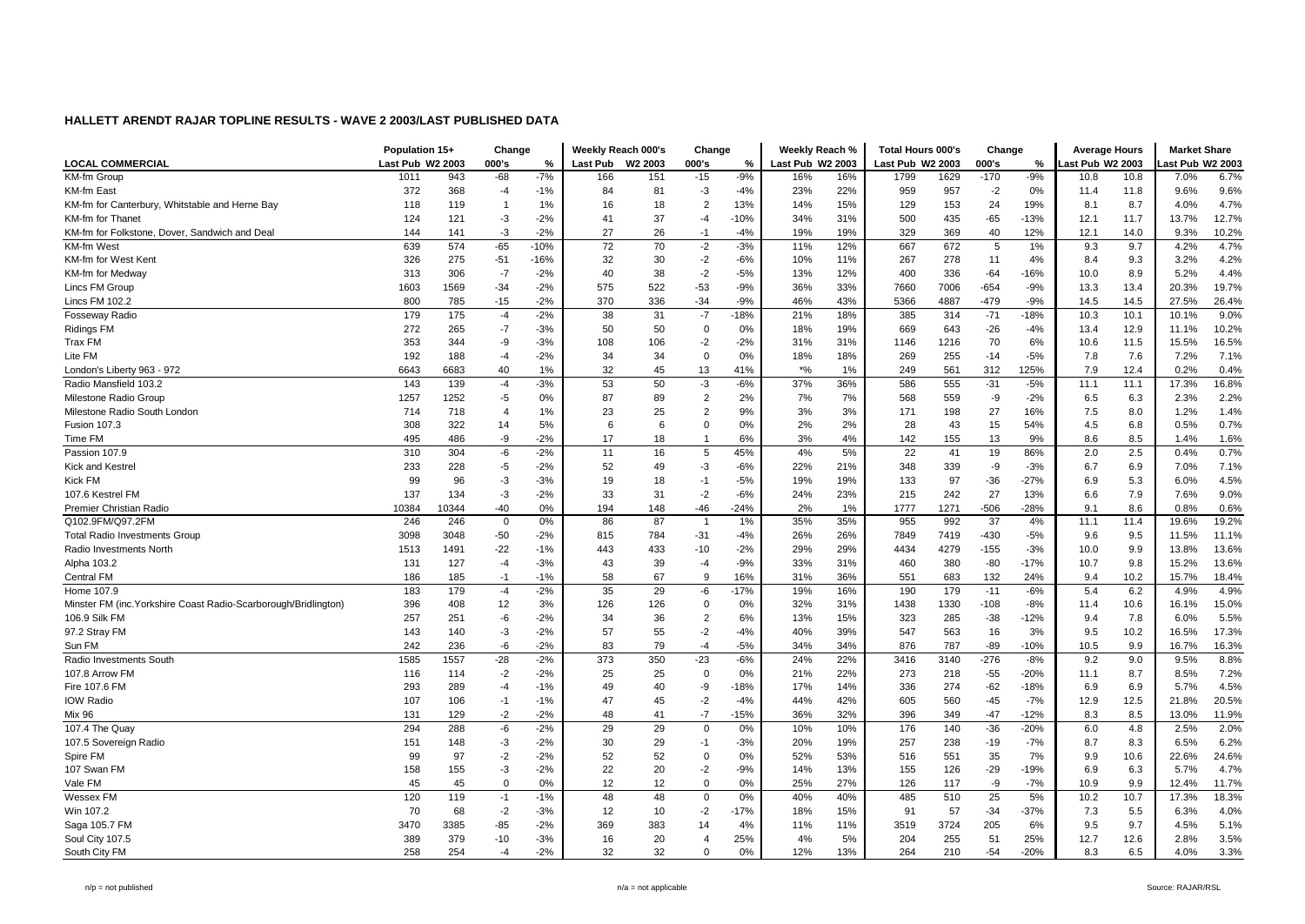|                                                                 | Population 15+   |       | Change         |        | Weekly Reach 000's |         | Change         |        | Weekly Reach %   |     | <b>Total Hours 000's</b> |      | Change |        | <b>Average Hours</b> |      | <b>Market Share</b> |       |
|-----------------------------------------------------------------|------------------|-------|----------------|--------|--------------------|---------|----------------|--------|------------------|-----|--------------------------|------|--------|--------|----------------------|------|---------------------|-------|
| <b>LOCAL COMMERCIAL</b>                                         | Last Pub W2 2003 |       | 000's          | %      | <b>Last Pub</b>    | W2 2003 | 000's          | %      | Last Pub W2 2003 |     | Last Pub W2 2003         |      | 000's  | %      | ast Pub W2 2003      |      | ast Pub W2 2003     |       |
| <b>KM-fm Group</b>                                              | 1011             | 943   | $-68$          | $-7%$  | 166                | 151     | $-15$          | $-9%$  | 16%              | 16% | 1799                     | 1629 | $-170$ | $-9%$  | 10.8                 | 10.8 | 7.0%                | 6.7%  |
| <b>KM-fm East</b>                                               | 372              | 368   | -4             | $-1%$  | 84                 | 81      | $-3$           | $-4%$  | 23%              | 22% | 959                      | 957  | $-2$   | $0\%$  | 11.4                 | 11.8 | 9.6%                | 9.6%  |
| KM-fm for Canterbury, Whitstable and Herne Bay                  | 118              | 119   | -1             | 1%     | 16                 | 18      | 2              | 13%    | 14%              | 15% | 129                      | 153  | 24     | 19%    | 8.1                  | 8.7  | 4.0%                | 4.7%  |
| KM-fm for Thanet                                                | 124              | 121   | $-3$           | $-2%$  | 41                 | 37      | $-4$           | $-10%$ | 34%              | 31% | 500                      | 435  | $-65$  | $-13%$ | 12.1                 | 11.7 | 13.7%               | 12.7% |
| KM-fm for Folkstone, Dover, Sandwich and Deal                   | 144              | 141   | $-3$           | $-2%$  | 27                 | 26      | $-1$           | $-4%$  | 19%              | 19% | 329                      | 369  | 40     | 12%    | 12.1                 | 14.0 | 9.3%                | 10.2% |
| <b>KM-fm West</b>                                               | 639              | 574   | $-65$          | $-10%$ | 72                 | 70      | $-2$           | $-3%$  | 11%              | 12% | 667                      | 672  | 5      | 1%     | 9.3                  | 9.7  | 4.2%                | 4.7%  |
| KM-fm for West Kent                                             | 326              | 275   | $-51$          | $-16%$ | 32                 | 30      | $-2$           | $-6%$  | 10%              | 11% | 267                      | 278  | 11     | 4%     | 8.4                  | 9.3  | 3.2%                | 4.2%  |
| KM-fm for Medway                                                | 313              | 306   | $-7$           | $-2%$  | 40                 | 38      | $-2$           | $-5%$  | 13%              | 12% | 400                      | 336  | $-64$  | $-16%$ | 10.0                 | 8.9  | 5.2%                | 4.4%  |
| Lincs FM Group                                                  | 1603             | 1569  | $-34$          | $-2%$  | 575                | 522     | $-53$          | $-9%$  | 36%              | 33% | 7660                     | 7006 | $-654$ | $-9%$  | 13.3                 | 13.4 | 20.3%               | 19.7% |
| Lincs FM 102.2                                                  | 800              | 785   | $-15$          | $-2%$  | 370                | 336     | $-34$          | $-9%$  | 46%              | 43% | 5366                     | 4887 | $-479$ | $-9%$  | 14.5                 | 14.5 | 27.5%               | 26.4% |
| Fosseway Radio                                                  | 179              | 175   | $-4$           | $-2%$  | 38                 | 31      | $-7$           | $-18%$ | 21%              | 18% | 385                      | 314  | $-71$  | $-18%$ | 10.3                 | 10.1 | 10.1%               | 9.0%  |
| <b>Ridings FM</b>                                               | 272              | 265   | $-7$           | $-3%$  | 50                 | 50      | $\mathbf 0$    | 0%     | 18%              | 19% | 669                      | 643  | $-26$  | $-4%$  | 13.4                 | 12.9 | 11.1%               | 10.2% |
| Trax FM                                                         | 353              | 344   | -9             | $-3%$  | 108                | 106     | $-2$           | $-2%$  | 31%              | 31% | 1146                     | 1216 | 70     | 6%     | 10.6                 | 11.5 | 15.5%               | 16.5% |
| Lite FM                                                         | 192              | 188   | -4             | $-2%$  | 34                 | 34      | $\mathbf 0$    | 0%     | 18%              | 18% | 269                      | 255  | $-14$  | $-5%$  | 7.8                  | 7.6  | 7.2%                | 7.1%  |
| London's Liberty 963 - 972                                      | 6643             | 6683  | 40             | 1%     | 32                 | 45      | 13             | 41%    | $*$ %            | 1%  | 249                      | 561  | 312    | 125%   | 7.9                  | 12.4 | 0.2%                | 0.4%  |
| Radio Mansfield 103.2                                           | 143              | 139   | $-4$           | $-3%$  | 53                 | 50      | $-3$           | $-6%$  | 37%              | 36% | 586                      | 555  | $-31$  | $-5%$  | 11.1                 | 11.1 | 17.3%               | 16.8% |
| Milestone Radio Group                                           | 1257             | 1252  | $-5$           | 0%     | 87                 | 89      | $\overline{2}$ | 2%     | 7%               | 7%  | 568                      | 559  | -9     | $-2%$  | 6.5                  | 6.3  | 2.3%                | 2.2%  |
| Milestone Radio South London                                    | 714              | 718   | $\overline{4}$ | 1%     | 23                 | 25      | $\overline{2}$ | 9%     | 3%               | 3%  | 171                      | 198  | 27     | 16%    | 7.5                  | 8.0  | 1.2%                | 1.4%  |
| <b>Fusion 107.3</b>                                             | 308              | 322   | 14             | 5%     | 6                  | 6       | $\Omega$       | 0%     | 2%               | 2%  | 28                       | 43   | 15     | 54%    | 4.5                  | 6.8  | 0.5%                | 0.7%  |
| Time FM                                                         | 495              | 486   | -9             | $-2%$  | 17                 | 18      | -1             | 6%     | 3%               | 4%  | 142                      | 155  | 13     | 9%     | 8.6                  | 8.5  | 1.4%                | 1.6%  |
| Passion 107.9                                                   | 310              | 304   | -6             | $-2%$  | 11                 | 16      | 5              | 45%    | 4%               | 5%  | 22                       | 41   | 19     | 86%    | 2.0                  | 2.5  | 0.4%                | 0.7%  |
| Kick and Kestrel                                                | 233              | 228   | $-5$           | $-2%$  | 52                 | 49      | -3             | $-6%$  | 22%              | 21% | 348                      | 339  | -9     | $-3%$  | 6.7                  | 6.9  | 7.0%                | 7.1%  |
| Kick FM                                                         | 99               | 96    | -3             | $-3%$  | 19                 | 18      | $-1$           | $-5%$  | 19%              | 19% | 133                      | 97   | $-36$  | $-27%$ | 6.9                  | 5.3  | 6.0%                | 4.5%  |
| 107.6 Kestrel FM                                                | 137              | 134   | $-3$           | $-2%$  | 33                 | 31      | $-2$           | $-6%$  | 24%              | 23% | 215                      | 242  | 27     | 13%    | 6.6                  | 7.9  | 7.6%                | 9.0%  |
| Premier Christian Radio                                         | 10384            | 10344 | $-40$          | 0%     | 194                | 148     | -46            | $-24%$ | 2%               | 1%  | 1777                     | 1271 | -506   | $-28%$ | 9.1                  | 8.6  | 0.8%                | 0.6%  |
| Q102.9FM/Q97.2FM                                                | 246              | 246   | $\mathbf 0$    | 0%     | 86                 | 87      | $\overline{1}$ | 1%     | 35%              | 35% | 955                      | 992  | 37     | 4%     | 11.1                 | 11.4 | 19.6%               | 19.2% |
| <b>Total Radio Investments Group</b>                            | 3098             | 3048  | $-50$          | $-2%$  | 815                | 784     | $-31$          | $-4%$  | 26%              | 26% | 7849                     | 7419 | -430   | $-5%$  | 9.6                  | 9.5  | 11.5%               | 11.1% |
| Radio Investments North                                         | 1513             | 1491  | $-22$          | $-1%$  | 443                | 433     | $-10$          | $-2%$  | 29%              | 29% | 4434                     | 4279 | $-155$ | $-3%$  | 10.0                 | 9.9  | 13.8%               | 13.6% |
| Alpha 103.2                                                     | 131              | 127   | $-4$           | $-3%$  | 43                 | 39      | $-4$           | $-9%$  | 33%              | 31% | 460                      | 380  | $-80$  | $-17%$ | 10.7                 | 9.8  | 15.2%               | 13.6% |
| Central FM                                                      | 186              | 185   | $-1$           | $-1%$  | 58                 | 67      | -9             | 16%    | 31%              | 36% | 551                      | 683  | 132    | 24%    | 9.4                  | 10.2 | 15.7%               | 18.4% |
| Home 107.9                                                      | 183              | 179   | $-4$           | $-2%$  | 35                 | 29      | $-6$           | $-17%$ | 19%              | 16% | 190                      | 179  | $-11$  | $-6%$  | 5.4                  | 6.2  | 4.9%                | 4.9%  |
| Minster FM (inc. Yorkshire Coast Radio-Scarborough/Bridlington) | 396              | 408   | 12             | 3%     | 126                | 126     | $\mathbf 0$    | 0%     | 32%              | 31% | 1438                     | 1330 | $-108$ | $-8%$  | 11.4                 | 10.6 | 16.1%               | 15.0% |
| 106.9 Silk FM                                                   | 257              | 251   | -6             | $-2%$  | 34                 | 36      | $\overline{2}$ | 6%     | 13%              | 15% | 323                      | 285  | $-38$  | $-12%$ | 9.4                  | 7.8  | 6.0%                | 5.5%  |
| 97.2 Stray FM                                                   | 143              | 140   | $-3$           | $-2%$  | 57                 | 55      | $-2$           | $-4%$  | 40%              | 39% | 547                      | 563  | 16     | 3%     | 9.5                  | 10.2 | 16.5%               | 17.3% |
| Sun FM                                                          | 242              | 236   | -6             | $-2%$  | 83                 | 79      | $-4$           | $-5%$  | 34%              | 34% | 876                      | 787  | $-89$  | $-10%$ | 10.5                 | 9.9  | 16.7%               | 16.3% |
| Radio Investments South                                         | 1585             | 1557  | $-28$          | $-2%$  | 373                | 350     | $-23$          | $-6%$  | 24%              | 22% | 3416                     | 3140 | $-276$ | $-8%$  | 9.2                  | 9.0  | 9.5%                | 8.8%  |
| 107.8 Arrow FM                                                  | 116              | 114   | $-2$           | $-2%$  | 25                 | 25      | $\mathbf 0$    | 0%     | 21%              | 22% | 273                      | 218  | $-55$  | $-20%$ | 11.1                 | 8.7  | 8.5%                | 7.2%  |
| Fire 107.6 FM                                                   | 293              | 289   | -4             | $-1%$  | 49                 | 40      | -9             | $-18%$ | 17%              | 14% | 336                      | 274  | $-62$  | $-18%$ | 6.9                  | 6.9  | 5.7%                | 4.5%  |
| IOW Radio                                                       | 107              | 106   | $-1$           | $-1%$  | 47                 | 45      | $-2$           | $-4%$  | 44%              | 42% | 605                      | 560  | $-45$  | $-7%$  | 12.9                 | 12.5 | 21.8%               | 20.5% |
| <b>Mix 96</b>                                                   | 131              | 129   | $-2$           | $-2%$  | 48                 | 41      | $-7$           | $-15%$ | 36%              | 32% | 396                      | 349  | $-47$  | $-12%$ | 8.3                  | 8.5  | 13.0%               | 11.9% |
| 107.4 The Quay                                                  | 294              | 288   | -6             | $-2%$  | 29                 | 29      | $\mathbf 0$    | 0%     | 10%              | 10% | 176                      | 140  | $-36$  | $-20%$ | 6.0                  | 4.8  | 2.5%                | 2.0%  |
| 107.5 Sovereign Radio                                           | 151              | 148   | $-3$           | $-2%$  | 30                 | 29      | $-1$           | $-3%$  | 20%              | 19% | 257                      | 238  | $-19$  | $-7%$  | 8.7                  | 8.3  | 6.5%                | 6.2%  |
| Spire FM                                                        | 99               | 97    | $-2$           | $-2%$  | 52                 | 52      | $\mathbf 0$    | 0%     | 52%              | 53% | 516                      | 551  | 35     | 7%     | 9.9                  | 10.6 | 22.6%               | 24.6% |
| 107 Swan FM                                                     | 158              | 155   | $-3$           | $-2%$  | 22                 | 20      | $-2$           | $-9%$  | 14%              | 13% | 155                      | 126  | $-29$  | $-19%$ | 6.9                  | 6.3  | 5.7%                | 4.7%  |
| Vale FM                                                         | 45               | 45    | $\Omega$       | 0%     | 12                 | 12      | $\mathbf 0$    | 0%     | 25%              | 27% | 126                      | 117  | -9     | $-7%$  | 10.9                 | 9.9  | 12.4%               | 11.7% |
| Wessex FM                                                       | 120              | 119   | $-1$           | $-1%$  | 48                 | 48      | 0              | 0%     | 40%              | 40% | 485                      | 510  | 25     | 5%     | 10.2                 | 10.7 | 17.3%               | 18.3% |
| Win 107.2                                                       | 70               | 68    | $-2$           | $-3%$  | 12                 | 10      | $-2$           | $-17%$ | 18%              | 15% | 91                       | 57   | $-34$  | $-37%$ | 7.3                  | 5.5  | 6.3%                | 4.0%  |
| Saga 105.7 FM                                                   | 3470             | 3385  | $-85$          | $-2%$  | 369                | 383     | 14             | 4%     | 11%              | 11% | 3519                     | 3724 | 205    | 6%     | 9.5                  | 9.7  | 4.5%                | 5.1%  |
| Soul City 107.5                                                 | 389              | 379   | $-10$          | $-3%$  | 16                 | 20      | $\overline{4}$ | 25%    | 4%               | 5%  | 204                      | 255  | 51     | 25%    | 12.7                 | 12.6 | 2.8%                | 3.5%  |
| South City FM                                                   | 258              | 254   | $-4$           | $-2%$  | 32                 | 32      | $\Omega$       | 0%     | 12%              | 13% | 264                      | 210  | $-54$  | $-20%$ | 8.3                  | 6.5  | 4.0%                | 3.3%  |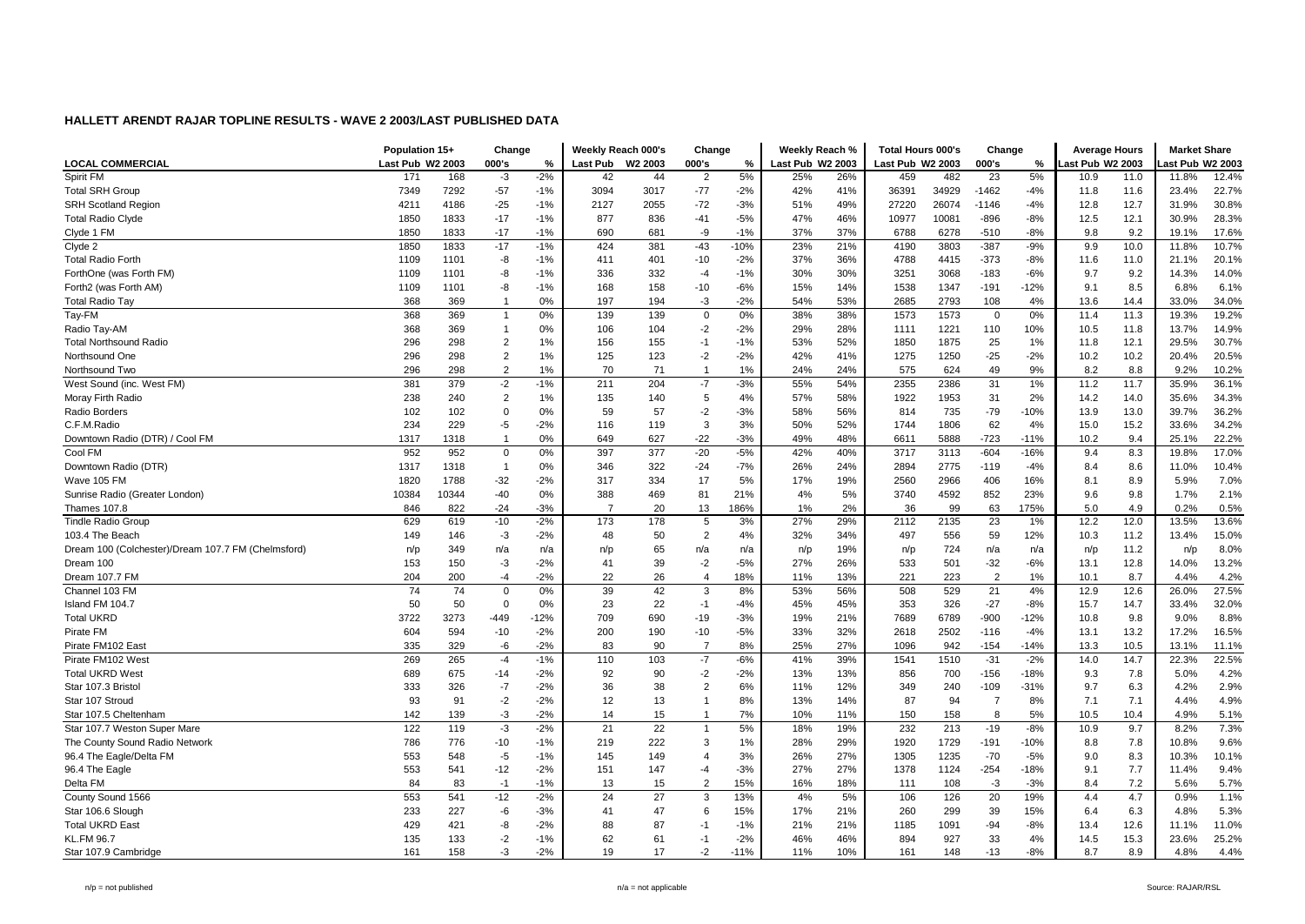|                                                    | Population 15+   |            | Change         |                | Weekly Reach 000's |          | Change                           |          | Weekly Reach %   |            | <b>Total Hours 000's</b> |           | Change           |             | <b>Average Hours</b> |             | <b>Market Share</b> |              |
|----------------------------------------------------|------------------|------------|----------------|----------------|--------------------|----------|----------------------------------|----------|------------------|------------|--------------------------|-----------|------------------|-------------|----------------------|-------------|---------------------|--------------|
| <b>LOCAL COMMERCIAL</b>                            | Last Pub W2 2003 |            | 000's          | %              | <b>Last Pub</b>    | W2 2003  | 000's                            | %        | Last Pub W2 2003 |            | Last Pub W2 2003         |           | 000's            | %           | ast Pub W2 2003      |             | ast Pub W2 2003     |              |
| Spirit FM                                          | 171              | 168        | $-3$           | $-2%$          | 42                 | 44       | $\overline{2}$                   | 5%       | 25%              | 26%        | 459                      | 482       | 23               | 5%          | 10.9                 | 11.0        | 11.8%               | 12.4%        |
| <b>Total SRH Group</b>                             | 7349             | 7292       | $-57$          | $-1%$          | 3094               | 3017     | $-77$                            | $-2%$    | 42%              | 41%        | 36391                    | 34929     | $-1462$          | $-4%$       | 11.8                 | 11.6        | 23.4%               | 22.7%        |
| <b>SRH Scotland Region</b>                         | 4211             | 4186       | $-25$          | $-1%$          | 2127               | 2055     | $-72$                            | $-3%$    | 51%              | 49%        | 27220                    | 26074     | $-1146$          | $-4%$       | 12.8                 | 12.7        | 31.9%               | 30.8%        |
| <b>Total Radio Clyde</b>                           | 1850             | 1833       | $-17$          | $-1%$          | 877                | 836      | $-41$                            | $-5%$    | 47%              | 46%        | 10977                    | 10081     | $-896$           | $-8%$       | 12.5                 | 12.1        | 30.9%               | 28.3%        |
| Clyde 1 FM                                         | 1850             | 1833       | $-17$          | $-1%$          | 690                | 681      | -9                               | $-1%$    | 37%              | 37%        | 6788                     | 6278      | $-510$           | $-8%$       | 9.8                  | 9.2         | 19.1%               | 17.6%        |
| Clyde 2                                            | 1850             | 1833       | $-17$          | $-1%$          | 424                | 381      | $-43$                            | $-10%$   | 23%              | 21%        | 4190                     | 3803      | $-387$           | $-9%$       | 9.9                  | 10.0        | 11.8%               | 10.7%        |
| <b>Total Radio Forth</b>                           | 1109             | 1101       | -8             | $-1%$          | 411                | 401      | $-10$                            | $-2%$    | 37%              | 36%        | 4788                     | 4415      | $-373$           | $-8%$       | 11.6                 | 11.0        | 21.1%               | 20.1%        |
| ForthOne (was Forth FM)                            | 1109             | 1101       | -8             | $-1%$          | 336                | 332      | $-4$                             | $-1%$    | 30%              | 30%        | 3251                     | 3068      | $-183$           | $-6%$       | 9.7                  | 9.2         | 14.3%               | 14.0%        |
| Forth2 (was Forth AM)                              | 1109             | 1101       | -8             | $-1%$          | 168                | 158      | $-10$                            | $-6%$    | 15%              | 14%        | 1538                     | 1347      | $-191$           | $-12%$      | 9.1                  | 8.5         | 6.8%                | 6.1%         |
| <b>Total Radio Tay</b>                             | 368              | 369        | $\overline{1}$ | 0%             | 197                | 194      | -3                               | $-2%$    | 54%              | 53%        | 2685                     | 2793      | 108              | 4%          | 13.6                 | 14.4        | 33.0%               | 34.0%        |
| Tay-FM                                             | 368              | 369        | $\mathbf{1}$   | 0%             | 139                | 139      | 0                                | 0%       | 38%              | 38%        | 1573                     | 1573      | 0                | 0%          | 11.4                 | 11.3        | 19.3%               | 19.2%        |
| Radio Tay-AM                                       | 368              | 369        | $\mathbf{1}$   | 0%             | 106                | 104      | $-2$                             | $-2%$    | 29%              | 28%        | 1111                     | 1221      | 110              | 10%         | 10.5                 | 11.8        | 13.7%               | 14.9%        |
| <b>Total Northsound Radio</b>                      | 296              | 298        | $\overline{2}$ | 1%             | 156                | 155      | $-1$                             | $-1%$    | 53%              | 52%        | 1850                     | 1875      | 25               | 1%          | 11.8                 | 12.1        | 29.5%               | 30.7%        |
| Northsound One                                     | 296              | 298        | $\overline{2}$ | 1%             | 125                | 123      | $-2$                             | $-2%$    | 42%              | 41%        | 1275                     | 1250      | $-25$            | $-2%$       | 10.2                 | 10.2        | 20.4%               | 20.5%        |
| Northsound Two                                     | 296              | 298        | $\overline{2}$ | 1%             | 70                 | 71       | $\overline{1}$                   | 1%       | 24%              | 24%        | 575                      | 624       | 49               | 9%          | 8.2                  | 8.8         | 9.2%                | 10.2%        |
| West Sound (inc. West FM)                          | 381              | 379        | -2             | $-1%$          | 211                | 204      | $-7$                             | $-3%$    | 55%              | 54%        | 2355                     | 2386      | 31               | 1%          | 11.2                 | 11.7        | 35.9%               | 36.1%        |
| Moray Firth Radio                                  | 238              | 240        | $\overline{2}$ | 1%             | 135                | 140      | $\sqrt{5}$                       | 4%       | 57%              | 58%        | 1922                     | 1953      | 31               | 2%          | 14.2                 | 14.0        | 35.6%               | 34.3%        |
| Radio Borders                                      | 102              | 102        | $\Omega$       | 0%             | 59                 | 57       | $-2$                             | $-3%$    | 58%              | 56%        | 814                      | 735       | $-79$            | $-10%$      | 13.9                 | 13.0        | 39.7%               | 36.2%        |
| C.F.M.Radio                                        | 234              | 229        | -5             | $-2%$          | 116                | 119      | 3                                | 3%       | 50%              | 52%        | 1744                     | 1806      | 62               | 4%          | 15.0                 | 15.2        | 33.6%               | 34.2%        |
| Downtown Radio (DTR) / Cool FM                     | 1317             | 1318       | $\overline{1}$ | 0%             | 649                | 627      | $-22$                            | $-3%$    | 49%              | 48%        | 6611                     | 5888      | $-723$           | $-11%$      | 10.2                 | 9.4         | 25.1%               | 22.2%        |
| Cool FM                                            | 952              | 952        | 0              | 0%             | 397                | 377      | $-20$                            | $-5%$    | 42%              | 40%        | 3717                     | 3113      | $-604$           | $-16%$      | 9.4                  | 8.3         | 19.8%               | 17.0%        |
| Downtown Radio (DTR)                               | 1317             | 1318       | $\overline{1}$ | 0%             | 346                | 322      | $-24$                            | $-7%$    | 26%              | 24%        | 2894                     | 2775      | $-119$           | $-4%$       | 8.4                  | 8.6         | 11.0%               | 10.4%        |
| Wave 105 FM                                        | 1820             | 1788       | $-32$          | $-2%$          | 317                | 334      | 17                               | 5%       | 17%              | 19%        | 2560                     | 2966      | 406              | 16%         | 8.1                  | 8.9         | 5.9%                | 7.0%         |
| Sunrise Radio (Greater London)                     | 10384            | 10344      | $-40$          | 0%             | 388                | 469      | 81                               | 21%      | 4%               | 5%         | 3740                     | 4592      | 852              | 23%         | 9.6                  | 9.8         | 1.7%                | 2.1%         |
| Thames 107.8                                       | 846              | 822        | $-24$          | $-3%$          | $\overline{7}$     | 20       | 13                               | 186%     | 1%               | 2%         | 36                       | 99        | 63               | 175%        | 5.0                  | 4.9         | 0.2%                | 0.5%         |
| <b>Tindle Radio Group</b>                          | 629              | 619        | $-10$          | $-2%$          | 173                | 178      | 5                                | 3%       | 27%              | 29%        | 2112                     | 2135      | 23               | 1%          | 12.2                 | 12.0        | 13.5%               | 13.6%        |
| 103.4 The Beach                                    | 149              | 146        | $-3$           | $-2%$          | 48                 | 50       | $\overline{2}$                   | 4%       | 32%              | 34%        | 497                      | 556       | 59               | 12%         | 10.3                 | 11.2        | 13.4%               | 15.0%        |
| Dream 100 (Colchester)/Dream 107.7 FM (Chelmsford) | n/p              | 349        | n/a            | n/a            | n/p                | 65       | n/a                              | n/a      | n/p              | 19%        | n/p                      | 724       | n/a              | n/a         | n/p                  | 11.2        | n/p                 | 8.0%         |
| Dream 100                                          | 153              | 150        | $-3$           | $-2%$          | 41                 | 39       | $-2$                             | $-5%$    | 27%              | 26%        | 533                      | 501       | $-32$            | $-6%$       | 13.1                 | 12.8        | 14.0%               | 13.2%        |
| Dream 107.7 FM                                     | 204              | 200        | -4             | $-2%$          | 22                 | 26       | $\overline{4}$                   | 18%      | 11%              | 13%        | 221                      | 223       | $\overline{2}$   | 1%          | 10.1                 | 8.7         | 4.4%                | 4.2%         |
| Channel 103 FM                                     | 74               | 74         | $\Omega$       | 0%             | 39                 | 42       | 3                                | 8%       | 53%              | 56%        | 508                      | 529       | 21               | 4%          | 12.9                 | 12.6        | 26.0%               | 27.5%        |
| Island FM 104.7                                    | 50               | 50         | $\Omega$       | 0%             | 23                 | 22       | $-1$                             | $-4%$    | 45%              | 45%        | 353                      | 326       | $-27$            | $-8%$       | 15.7                 | 14.7        | 33.4%               | 32.0%        |
| <b>Total UKRD</b>                                  | 3722             | 3273       | $-449$         | $-12%$         | 709                | 690      | $-19$                            | $-3%$    | 19%              | 21%        | 7689                     | 6789      | -900             | $-12%$      | 10.8                 | 9.8         | 9.0%                | 8.8%         |
| Pirate FM                                          | 604              | 594        | $-10$          | $-2%$          | 200                | 190      | $-10$                            | $-5%$    | 33%              | 32%        | 2618                     | 2502      | $-116$           | $-4%$       | 13.1                 | 13.2        | 17.2%               | 16.5%        |
| Pirate FM102 East                                  | 335              | 329        | -6             | $-2%$          | 83                 | 90       | $\overline{7}$                   | 8%       | 25%              | 27%        | 1096                     | 942       | $-154$           | $-14%$      | 13.3                 | 10.5        | 13.1%               | 11.1%        |
| Pirate FM102 West                                  | 269              | 265        | $-4$           | $-1%$          | 110                | 103      | $-7$                             | $-6%$    | 41%              | 39%        | 1541                     | 1510      | $-31$            | $-2%$       | 14.0                 | 14.7        | 22.3%               | 22.5%        |
| <b>Total UKRD West</b>                             | 689              |            |                |                |                    | 90       |                                  | $-2%$    | 13%              | 13%        |                          |           |                  | $-18%$      |                      |             |                     | 4.2%         |
| Star 107.3 Bristol                                 | 333              | 675<br>326 | $-14$<br>$-7$  | $-2%$<br>$-2%$ | 92<br>36           | 38       | $-2$<br>$\overline{2}$           | 6%       | 11%              | 12%        | 856<br>349               | 700       | $-156$<br>$-109$ | $-31%$      | 9.3<br>9.7           | 7.8<br>6.3  | 5.0%<br>4.2%        | 2.9%         |
| Star 107 Stroud                                    |                  |            | $-2$           | $-2%$          | 12                 | 13       | -1                               | 8%       | 13%              |            | 87                       | 240<br>94 | 7                | 8%          | 7.1                  | 7.1         |                     | 4.9%         |
|                                                    | 93               | 91         |                |                |                    |          |                                  |          |                  | 14%        |                          |           |                  |             |                      |             | 4.4%                |              |
| Star 107.5 Cheltenham                              | 142<br>122       | 139<br>119 | -3<br>$-3$     | $-2%$<br>$-2%$ | 14<br>21           | 15<br>22 | $\overline{1}$<br>$\overline{1}$ | 7%<br>5% | 10%              | 11%<br>19% | 150<br>232               | 158       | 8<br>$-19$       | 5%<br>$-8%$ | 10.5<br>10.9         | 10.4<br>9.7 | 4.9%<br>8.2%        | 5.1%<br>7.3% |
| Star 107.7 Weston Super Mare                       |                  |            |                |                |                    |          | 3                                |          | 18%              |            |                          | 213       |                  |             |                      |             |                     |              |
| The County Sound Radio Network                     | 786              | 776        | $-10$          | $-1%$          | 219                | 222      |                                  | 1%       | 28%              | 29%        | 1920                     | 1729      | $-191$           | -10%        | 8.8                  | 7.8         | 10.8%               | 9.6%         |
| 96.4 The Eagle/Delta FM                            | 553              | 548        | $-5$           | $-1%$          | 145                | 149      | $\overline{4}$                   | 3%       | 26%              | 27%        | 1305                     | 1235      | $-70$            | $-5%$       | 9.0                  | 8.3         | 10.3%               | 10.1%        |
| 96.4 The Eagle                                     | 553              | 541        | $-12$          | $-2%$          | 151                | 147      | $-4$                             | $-3%$    | 27%              | 27%        | 1378                     | 1124      | $-254$           | $-18%$      | 9.1                  | 7.7         | 11.4%               | 9.4%         |
| Delta FM                                           | 84               | 83         | $-1$           | $-1%$          | 13                 | 15       | $\overline{2}$                   | 15%      | 16%              | 18%        | 111                      | 108       | $-3$             | $-3%$       | 8.4                  | 7.2         | 5.6%                | 5.7%         |
| County Sound 1566                                  | 553              | 541        | $-12$          | $-2%$          | 24                 | 27       | 3                                | 13%      | 4%               | 5%         | 106                      | 126       | 20               | 19%         | 4.4                  | 4.7         | 0.9%                | 1.1%         |
| Star 106.6 Slough                                  | 233              | 227        | -6             | $-3%$          | 41                 | 47       | 6                                | 15%      | 17%              | 21%        | 260                      | 299       | 39               | 15%         | 6.4                  | 6.3         | 4.8%                | 5.3%         |
| <b>Total UKRD East</b>                             | 429              | 421        | -8             | $-2%$          | 88                 | 87       | $-1$                             | $-1%$    | 21%              | 21%        | 1185                     | 1091      | $-94$            | $-8%$       | 13.4                 | 12.6        | 11.1%               | 11.0%        |
| <b>KL.FM 96.7</b>                                  | 135              | 133        | -2             | $-1%$          | 62                 | 61       | $-1$                             | $-2%$    | 46%              | 46%        | 894                      | 927       | 33               | 4%          | 14.5                 | 15.3        | 23.6%               | 25.2%        |
| Star 107.9 Cambridge                               | 161              | 158        | -3             | $-2%$          | 19                 | 17       | $-2$                             | $-11%$   | 11%              | 10%        | 161                      | 148       | $-13$            | $-8%$       | 8.7                  | 8.9         | 4.8%                | 4.4%         |